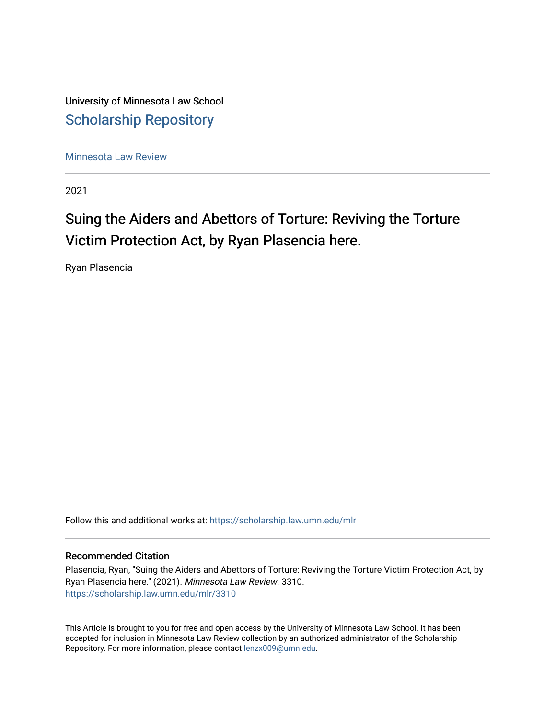University of Minnesota Law School [Scholarship Repository](https://scholarship.law.umn.edu/) 

[Minnesota Law Review](https://scholarship.law.umn.edu/mlr) 

2021

# Suing the Aiders and Abettors of Torture: Reviving the Torture Victim Protection Act, by Ryan Plasencia here.

Ryan Plasencia

Follow this and additional works at: [https://scholarship.law.umn.edu/mlr](https://scholarship.law.umn.edu/mlr?utm_source=scholarship.law.umn.edu%2Fmlr%2F3310&utm_medium=PDF&utm_campaign=PDFCoverPages)

# Recommended Citation

Plasencia, Ryan, "Suing the Aiders and Abettors of Torture: Reviving the Torture Victim Protection Act, by Ryan Plasencia here." (2021). Minnesota Law Review. 3310. [https://scholarship.law.umn.edu/mlr/3310](https://scholarship.law.umn.edu/mlr/3310?utm_source=scholarship.law.umn.edu%2Fmlr%2F3310&utm_medium=PDF&utm_campaign=PDFCoverPages)

This Article is brought to you for free and open access by the University of Minnesota Law School. It has been accepted for inclusion in Minnesota Law Review collection by an authorized administrator of the Scholarship Repository. For more information, please contact [lenzx009@umn.edu.](mailto:lenzx009@umn.edu)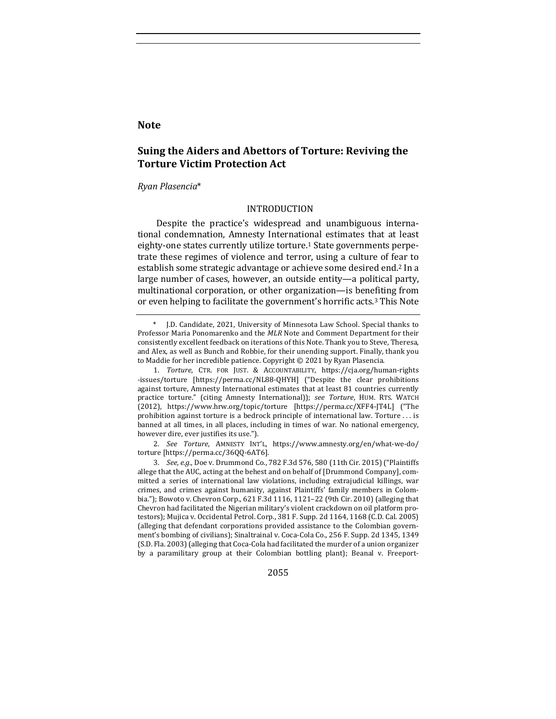# **Note**

# **Suing the Aiders and Abettors of Torture: Reviving the Torture Victim Protection Act**

#### *Ryan Plasencia*\*

### INTRODUCTION

Despite the practice's widespread and unambiguous international condemnation, Amnesty International estimates that at least eighty-one states currently utilize torture.<sup>1</sup> State governments perpetrate these regimes of violence and terror, using a culture of fear to establish some strategic advantage or achieve some desired end.<sup>2</sup> In a large number of cases, however, an outside entity-a political party, multinational corporation, or other organization—is benefiting from or even helping to facilitate the government's horrific acts.<sup>3</sup> This Note

2. See Torture, AMNESTY INT'L, https://www.amnesty.org/en/what-we-do/ torture [https://perma.cc/36QQ-6AT6].

3. *See, e.g.*, Doe v. Drummond Co., 782 F.3d 576, 580 (11th Cir. 2015) ("Plaintiffs allege that the AUC, acting at the behest and on behalf of [Drummond Company], committed a series of international law violations, including extrajudicial killings, war crimes, and crimes against humanity, against Plaintiffs' family members in Colombia."); Bowoto v. Chevron Corp., 621 F.3d 1116, 1121-22 (9th Cir. 2010) (alleging that Chevron had facilitated the Nigerian military's violent crackdown on oil platform protestors); Mujica v. Occidental Petrol. Corp., 381 F. Supp. 2d 1164, 1168 (C.D. Cal. 2005) (alleging that defendant corporations provided assistance to the Colombian government's bombing of civilians); Sinaltrainal v. Coca-Cola Co., 256 F. Supp. 2d 1345, 1349 (S.D. Fla. 2003) (alleging that Coca-Cola had facilitated the murder of a union organizer by a paramilitary group at their Colombian bottling plant); Beanal v. Freeport-

2055

<sup>\*</sup> J.D. Candidate, 2021, University of Minnesota Law School. Special thanks to Professor Maria Ponomarenko and the *MLR* Note and Comment Department for their consistently excellent feedback on iterations of this Note. Thank you to Steve, Theresa, and Alex, as well as Bunch and Robbie, for their unending support. Finally, thank you to Maddie for her incredible patience. Copyright © 2021 by Ryan Plasencia.

<sup>1.</sup> *Torture*, CTR. FOR JUST. & ACCOUNTABILITY, https://cja.org/human-rights -issues/torture [https://perma.cc/NL88-QHYH] ("Despite the clear prohibitions against torture, Amnesty International estimates that at least 81 countries currently practice torture." (citing Amnesty International)); see Torture, HUM. RTS. WATCH (2012), https://www.hrw.org/topic/torture [https://perma.cc/XFF4-JT4L] ("The prohibition against torture is a bedrock principle of international law. Torture  $\dots$  is banned at all times, in all places, including in times of war. No national emergency, however dire, ever justifies its use.").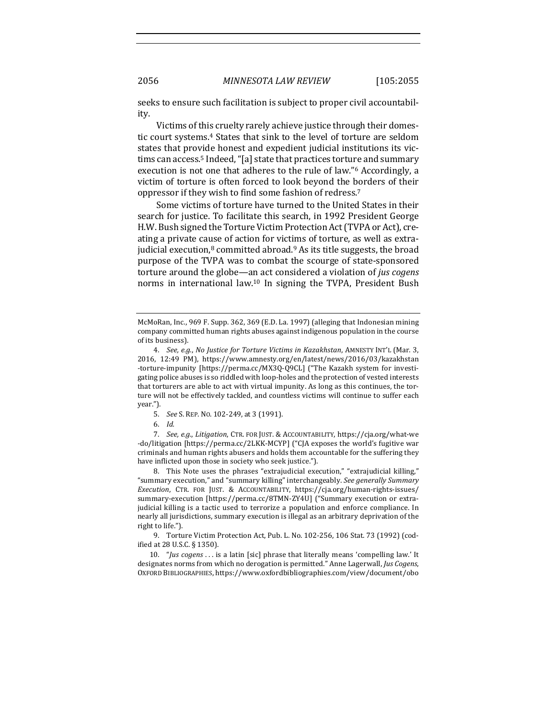seeks to ensure such facilitation is subject to proper civil accountability. 

Victims of this cruelty rarely achieve justice through their domestic court systems.<sup>4</sup> States that sink to the level of torture are seldom states that provide honest and expedient judicial institutions its victims can access.<sup>5</sup> Indeed, "[a] state that practices torture and summary execution is not one that adheres to the rule of law."<sup>6</sup> Accordingly, a victim of torture is often forced to look beyond the borders of their oppressor if they wish to find some fashion of redress.<sup>7</sup>

Some victims of torture have turned to the United States in their search for justice. To facilitate this search, in 1992 President George H.W. Bush signed the Torture Victim Protection Act (TVPA or Act), creating a private cause of action for victims of torture, as well as extrajudicial execution,<sup>8</sup> committed abroad.<sup>9</sup> As its title suggests, the broad purpose of the TVPA was to combat the scourge of state-sponsored torture around the globe—an act considered a violation of *jus cogens* norms in international law.<sup>10</sup> In signing the TVPA, President Bush

- 5. *See* S. REP. No. 102-249, at 3 (1991).
- 6. *Id.*

7. See, e.g., Litigation, CTR. FOR JUST. & ACCOUNTABILITY, https://cja.org/what-we -do/litigation [https://perma.cc/2LKK-MCYP] ("CJA exposes the world's fugitive war criminals and human rights abusers and holds them accountable for the suffering they have inflicted upon those in society who seek justice.").

8. This Note uses the phrases "extrajudicial execution," "extrajudicial killing," "summary execution," and "summary killing" interchangeably. See generally Summary *Execution*, CTR. FOR JUST. & ACCOUNTABILITY, https://cja.org/human-rights-issues/ summary-execution [https://perma.cc/8TMN-ZY4U] ("Summary execution or extrajudicial killing is a tactic used to terrorize a population and enforce compliance. In nearly all jurisdictions, summary execution is illegal as an arbitrary deprivation of the right to life.").

9. Torture Victim Protection Act, Pub. L. No. 102-256, 106 Stat. 73 (1992) (codified at 28 U.S.C. § 1350).

10. "*Jus cogens* ... is a latin [sic] phrase that literally means 'compelling law.' It designates norms from which no derogation is permitted." Anne Lagerwall, Jus Cogens, OXFORD BIBLIOGRAPHIES, https://www.oxfordbibliographies.com/view/document/obo

McMoRan, Inc., 969 F. Supp. 362, 369 (E.D. La. 1997) (alleging that Indonesian mining company committed human rights abuses against indigenous population in the course of its business).

<sup>4.</sup> *See, e.g., No Justice for Torture Victims in Kazakhstan, AMNESTY INT'L (Mar. 3,* 2016, 12:49 PM), https://www.amnesty.org/en/latest/news/2016/03/kazakhstan -torture-impunity [https://perma.cc/MX3Q-Q9CL] ("The Kazakh system for investigating police abuses is so riddled with loop-holes and the protection of vested interests that torturers are able to act with virtual impunity. As long as this continues, the torture will not be effectively tackled, and countless victims will continue to suffer each year.").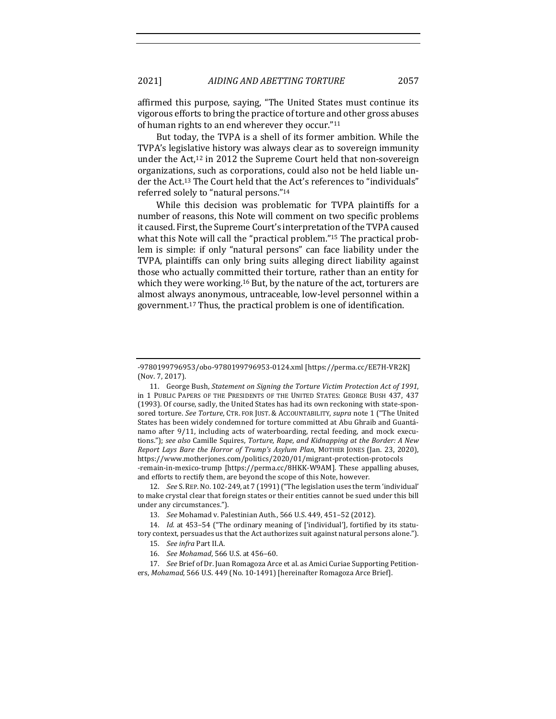affirmed this purpose, saying, "The United States must continue its vigorous efforts to bring the practice of torture and other gross abuses of human rights to an end wherever they occur."<sup>11</sup>

But today, the TVPA is a shell of its former ambition. While the TVPA's legislative history was always clear as to sovereign immunity under the Act, $12$  in 2012 the Supreme Court held that non-sovereign organizations, such as corporations, could also not be held liable under the Act.<sup>13</sup> The Court held that the Act's references to "individuals" referred solely to "natural persons."<sup>14</sup>

While this decision was problematic for TVPA plaintiffs for a number of reasons, this Note will comment on two specific problems it caused. First, the Supreme Court's interpretation of the TVPA caused what this Note will call the "practical problem."<sup>15</sup> The practical problem is simple: if only "natural persons" can face liability under the TVPA, plaintiffs can only bring suits alleging direct liability against those who actually committed their torture, rather than an entity for which they were working.<sup>16</sup> But, by the nature of the act, torturers are almost always anonymous, untraceable, low-level personnel within a government.<sup>17</sup> Thus, the practical problem is one of identification.

12. *See* S. REP. No. 102-249, at 7 (1991) ("The legislation uses the term 'individual' to make crystal clear that foreign states or their entities cannot be sued under this bill under any circumstances.").

14. *Id.* at 453–54 ("The ordinary meaning of ['individual'], fortified by its statutory context, persuades us that the Act authorizes suit against natural persons alone.").

<sup>-9780199796953/</sup>obo-9780199796953-0124.xml [https://perma.cc/EE7H-VR2K] (Nov. 7, 2017).

<sup>11.</sup> George Bush, *Statement on Signing the Torture Victim Protection Act of 1991*, in 1 PUBLIC PAPERS OF THE PRESIDENTS OF THE UNITED STATES: GEORGE BUSH 437, 437 (1993). Of course, sadly, the United States has had its own reckoning with state-sponsored torture. See Torture, CTR. FOR JUST. & ACCOUNTABILITY, supra note 1 ("The United States has been widely condemned for torture committed at Abu Ghraib and Guantánamo after 9/11, including acts of waterboarding, rectal feeding, and mock executions."); see also Camille Squires, *Torture, Rape, and Kidnapping at the Border: A New Report Lays Bare the Horror of Trump's Asylum Plan, MOTHER JONES (Jan. 23, 2020),* https://www.motherjones.com/politics/2020/01/migrant-protection-protocols -remain-in-mexico-trump [https://perma.cc/8HKK-W9AM]. These appalling abuses, and efforts to rectify them, are beyond the scope of this Note, however.

<sup>13.</sup> *See* Mohamad v. Palestinian Auth., 566 U.S. 449, 451-52 (2012).

<sup>15.</sup> *See infra Part II.A.* 

<sup>16.</sup> *See Mohamad*, 566 U.S. at 456-60.

<sup>17.</sup> *See* Brief of Dr. Juan Romagoza Arce et al. as Amici Curiae Supporting Petitioners, *Mohamad*, 566 U.S. 449 (No. 10-1491) [hereinafter Romagoza Arce Brief].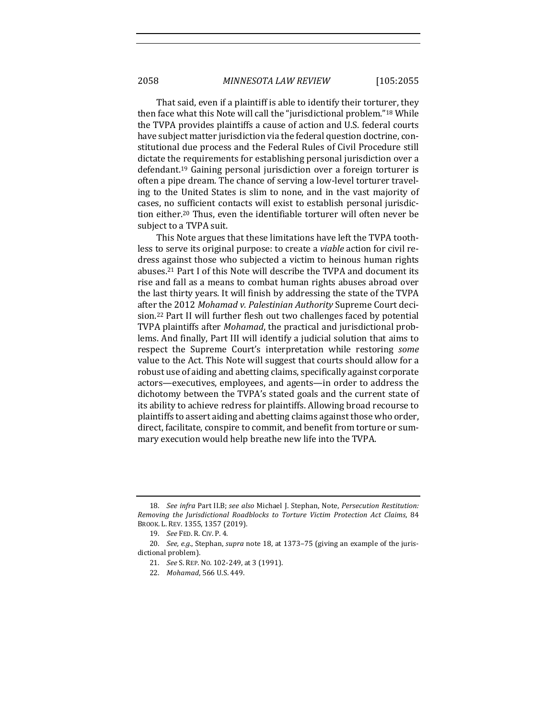That said, even if a plaintiff is able to identify their torturer, they then face what this Note will call the "jurisdictional problem."<sup>18</sup> While the TVPA provides plaintiffs a cause of action and U.S. federal courts have subject matter jurisdiction via the federal question doctrine, constitutional due process and the Federal Rules of Civil Procedure still dictate the requirements for establishing personal jurisdiction over a defendant.<sup>19</sup> Gaining personal jurisdiction over a foreign torturer is often a pipe dream. The chance of serving a low-level torturer traveling to the United States is slim to none, and in the vast majority of cases, no sufficient contacts will exist to establish personal jurisdiction either.<sup>20</sup> Thus, even the identifiable torturer will often never be subject to a TVPA suit.

This Note argues that these limitations have left the TVPA toothless to serve its original purpose: to create a *viable* action for civil redress against those who subjected a victim to heinous human rights abuses.<sup>21</sup> Part I of this Note will describe the TVPA and document its rise and fall as a means to combat human rights abuses abroad over the last thirty years. It will finish by addressing the state of the TVPA after the 2012 Mohamad v. Palestinian Authority Supreme Court decision.<sup>22</sup> Part II will further flesh out two challenges faced by potential TVPA plaintiffs after *Mohamad*, the practical and jurisdictional problems. And finally, Part III will identify a judicial solution that aims to respect the Supreme Court's interpretation while restoring *some* value to the Act. This Note will suggest that courts should allow for a robust use of aiding and abetting claims, specifically against corporate actors—executives, employees, and agents—in order to address the dichotomy between the TVPA's stated goals and the current state of its ability to achieve redress for plaintiffs. Allowing broad recourse to plaintiffs to assert aiding and abetting claims against those who order, direct, facilitate, conspire to commit, and benefit from torture or summary execution would help breathe new life into the TVPA.

<sup>18.</sup> *See infra Part II.B; see also Michael J. Stephan, Note, Persecution Restitution: Removing the Jurisdictional Roadblocks to Torture Victim Protection Act Claims, 84* BROOK. L. REV. 1355, 1357 (2019).

<sup>19.</sup> *See* FED. R. CIV. P. 4. 

<sup>20.</sup> *See, e.g.*, Stephan, *supra* note 18, at 1373-75 (giving an example of the jurisdictional problem).

<sup>21.</sup> *See* S. REP. No. 102-249, at 3 (1991).

<sup>22.</sup> *Mohamad*, 566 U.S. 449.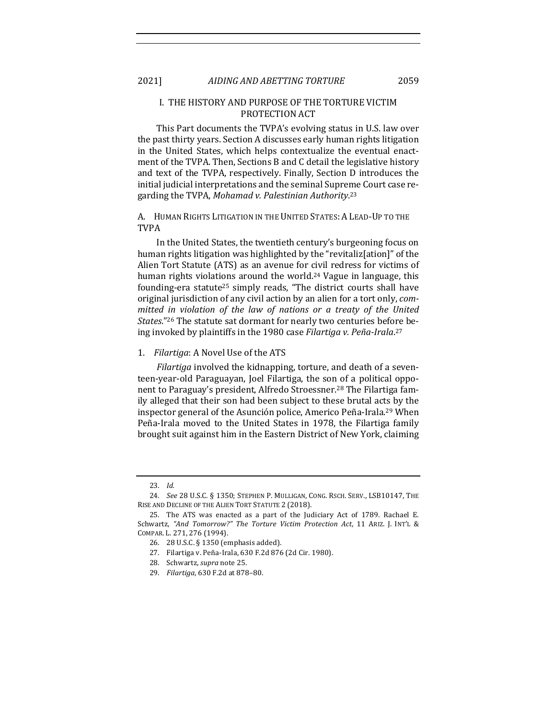## I. THE HISTORY AND PURPOSE OF THE TORTURE VICTIM PROTECTION ACT

This Part documents the TVPA's evolving status in U.S. law over the past thirty years. Section A discusses early human rights litigation in the United States, which helps contextualize the eventual enactment of the TVPA. Then, Sections B and C detail the legislative history and text of the TVPA, respectively. Finally, Section D introduces the initial judicial interpretations and the seminal Supreme Court case regarding the TVPA, Mohamad v. Palestinian Authority.<sup>23</sup>

A. HUMAN RIGHTS LITIGATION IN THE UNITED STATES: A LEAD-UP TO THE TVPA

In the United States, the twentieth century's burgeoning focus on human rights litigation was highlighted by the "revitaliz[ation]" of the Alien Tort Statute (ATS) as an avenue for civil redress for victims of human rights violations around the world.<sup>24</sup> Vague in language, this founding-era statute<sup>25</sup> simply reads, "The district courts shall have original jurisdiction of any civil action by an alien for a tort only, *committed in violation of the law of nations or a treaty of the United States.*"<sup>26</sup> The statute sat dormant for nearly two centuries before being invoked by plaintiffs in the 1980 case *Filartiga v. Peña-Irala*.<sup>27</sup>

### 1. *Filartiga*: A Novel Use of the ATS

*Filartiga* involved the kidnapping, torture, and death of a seventeen-year-old Paraguayan, Joel Filartiga, the son of a political opponent to Paraguay's president, Alfredo Stroessner.<sup>28</sup> The Filartiga family alleged that their son had been subject to these brutal acts by the inspector general of the Asunción police, Americo Peña-Irala.<sup>29</sup> When Peña-Irala moved to the United States in 1978, the Filartiga family brought suit against him in the Eastern District of New York, claiming

<sup>23.</sup> *Id.*

<sup>24.</sup> *See* 28 U.S.C. § 1350; STEPHEN P. MULLIGAN, CONG. RSCH. SERV., LSB10147, THE RISE AND DECLINE OF THE ALIEN TORT STATUTE 2 (2018).

<sup>25.</sup> The ATS was enacted as a part of the Judiciary Act of 1789. Rachael E. Schwartz, "And Tomorrow?" The Torture Victim Protection Act, 11 ARIZ. J. INT'L & COMPAR. L. 271, 276 (1994).

<sup>26. 28</sup> U.S.C. § 1350 (emphasis added).

<sup>27.</sup> Filartiga v. Peña-Irala, 630 F.2d 876 (2d Cir. 1980).

<sup>28.</sup> Schwartz, *supra* note 25.

<sup>29.</sup> *Filartiga*, 630 F.2d at 878-80.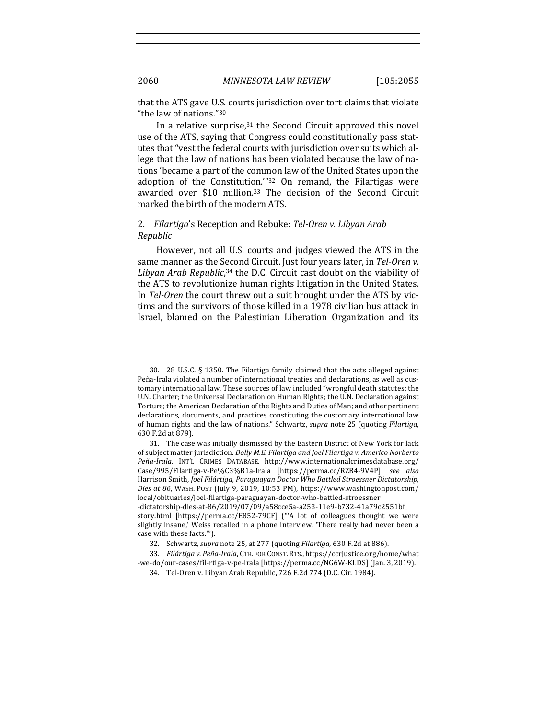that the ATS gave U.S. courts jurisdiction over tort claims that violate "the law of nations."<sup>30</sup>

In a relative surprise, $31$  the Second Circuit approved this novel use of the ATS, saying that Congress could constitutionally pass statutes that "vest the federal courts with jurisdiction over suits which allege that the law of nations has been violated because the law of nations 'became a part of the common law of the United States upon the adoption of the Constitution." $32$  On remand, the Filartigas were awarded over \$10 million.<sup>33</sup> The decision of the Second Circuit marked the birth of the modern ATS.

## 2. *Filartiga's* Reception and Rebuke: Tel-Oren v. Libyan Arab *Republic*

However, not all U.S. courts and judges viewed the ATS in the same manner as the Second Circuit. Just four years later, in *Tel-Oren v.* Libyan Arab Republic,<sup>34</sup> the D.C. Circuit cast doubt on the viability of the ATS to revolutionize human rights litigation in the United States. In *Tel-Oren* the court threw out a suit brought under the ATS by victims and the survivors of those killed in a 1978 civilian bus attack in Israel, blamed on the Palestinian Liberation Organization and its

<sup>30. 28</sup> U.S.C. § 1350. The Filartiga family claimed that the acts alleged against Peña-Irala violated a number of international treaties and declarations, as well as customary international law. These sources of law included "wrongful death statutes; the U.N. Charter; the Universal Declaration on Human Rights; the U.N. Declaration against Torture; the American Declaration of the Rights and Duties of Man; and other pertinent declarations, documents, and practices constituting the customary international law of human rights and the law of nations." Schwartz, *supra* note 25 (quoting *Filartiga*, 630 F.2d at 879). 

<sup>31.</sup> The case was initially dismissed by the Eastern District of New York for lack of subject matter jurisdiction. *Dolly M.E. Filartiga and Joel Filartiga v. Americo Norberto* Peña-Irala, INT'L CRIMES DATABASE, http://www.internationalcrimesdatabase.org/ Case/995/Filartiga-v-Pe%C3%B1a-Irala [https://perma.cc/RZB4-9V4P]; *see also* Harrison Smith, *Joel Filártiga, Paraguayan Doctor Who Battled Stroessner Dictatorship*, Dies at 86, WASH. POST (July 9, 2019, 10:53 PM), https://www.washingtonpost.com/ local/obituaries/joel-filartiga-paraguayan-doctor-who-battled-stroessner -dictatorship-dies-at-86/2019/07/09/a58cce5a-a253-11e9-b732-41a79c2551bf\_ story.html [https://perma.cc/E852-79CF] ("A lot of colleagues thought we were slightly insane,' Weiss recalled in a phone interview. 'There really had never been a case with these facts."").

<sup>32.</sup> Schwartz, *supra* note 25, at 277 (quoting *Filartiga*, 630 F.2d at 886).

<sup>33.</sup> Filártiga v. Peña-Irala, CTR. FOR CONST. RTS., https://ccrjustice.org/home/what -we-do/our-cases/fil-rtiga-v-pe-irala [https://perma.cc/NG6W-KLDS] (Jan. 3, 2019).

<sup>34.</sup> Tel-Oren v. Libyan Arab Republic, 726 F.2d 774 (D.C. Cir. 1984).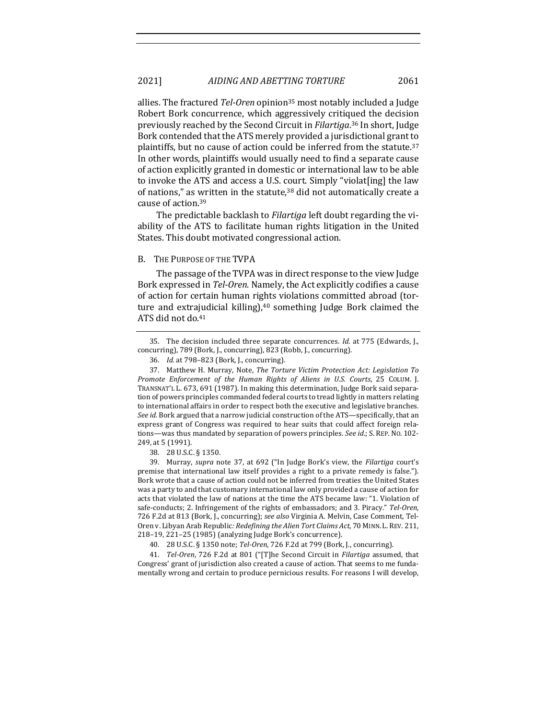allies. The fractured *Tel-Oren* opinion<sup>35</sup> most notably included a Judge Robert Bork concurrence, which aggressively critiqued the decision previously reached by the Second Circuit in *Filartiga*.<sup>36</sup> In short, Judge Bork contended that the ATS merely provided a jurisdictional grant to plaintiffs, but no cause of action could be inferred from the statute.<sup>37</sup> In other words, plaintiffs would usually need to find a separate cause of action explicitly granted in domestic or international law to be able to invoke the ATS and access a U.S. court. Simply "violat[ing] the law of nations," as written in the statute,<sup>38</sup> did not automatically create a cause of action.<sup>39</sup>

The predictable backlash to *Filartiga* left doubt regarding the viability of the ATS to facilitate human rights litigation in the United States. This doubt motivated congressional action.

#### B. THE PURPOSE OF THE TVPA

The passage of the TVPA was in direct response to the view Judge Bork expressed in *Tel-Oren*. Namely, the Act explicitly codifies a cause of action for certain human rights violations committed abroad (torture and extrajudicial killing), $40$  something Judge Bork claimed the ATS did not do.<sup>41</sup>

39. Murray, *supra* note 37, at 692 ("In Judge Bork's view, the *Filartiga* court's premise that international law itself provides a right to a private remedy is false."). Bork wrote that a cause of action could not be inferred from treaties the United States was a party to and that customary international law only provided a cause of action for acts that violated the law of nations at the time the ATS became law: "1. Violation of safe-conducts; 2. Infringement of the rights of embassadors; and 3. Piracy." *Tel-Oren*, 726 F.2d at 813 (Bork, J., concurring); see also Virginia A. Melvin, Case Comment, Tel-Oren v. Libyan Arab Republic: Redefining the Alien Tort Claims Act, 70 MINN. L. REV. 211, 218-19, 221-25 (1985) (analyzing Judge Bork's concurrence).

40. 28 U.S.C. § 1350 note; *Tel-Oren*, 726 F.2d at 799 (Bork, J., concurring).

41. *Tel-Oren*, 726 F.2d at 801 ("[T]he Second Circuit in *Filartiga* assumed, that Congress' grant of jurisdiction also created a cause of action. That seems to me fundamentally wrong and certain to produce pernicious results. For reasons I will develop,

<sup>35.</sup> The decision included three separate concurrences. *Id.* at 775 (Edwards, J., concurring), 789 (Bork, J., concurring), 823 (Robb, J., concurring).

<sup>36.</sup> *Id.* at 798-823 (Bork, J., concurring).

<sup>37.</sup> Matthew H. Murray, Note, *The Torture Victim Protection Act: Legislation To* Promote Enforcement of the Human Rights of Aliens in U.S. Courts, 25 COLUM. J. TRANSNAT'L L. 673, 691 (1987). In making this determination, Judge Bork said separation of powers principles commanded federal courts to tread lightly in matters relating to international affairs in order to respect both the executive and legislative branches. *See id.* Bork argued that a narrow judicial construction of the ATS—specifically, that an express grant of Congress was required to hear suits that could affect foreign relations—was thus mandated by separation of powers principles. See id.; S. REP. No. 102-249, at 5 (1991).

<sup>38.</sup> 28 U.S.C. § 1350.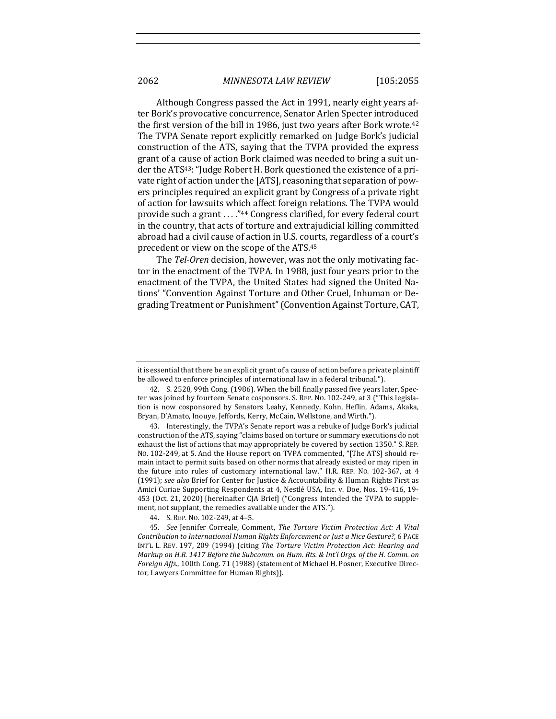Although Congress passed the Act in 1991, nearly eight years after Bork's provocative concurrence, Senator Arlen Specter introduced the first version of the bill in 1986, just two years after Bork wrote.<sup>42</sup> The TVPA Senate report explicitly remarked on Judge Bork's judicial construction of the ATS, saying that the TVPA provided the express grant of a cause of action Bork claimed was needed to bring a suit under the ATS<sup>43</sup>: "Judge Robert H. Bork questioned the existence of a private right of action under the [ATS], reasoning that separation of powers principles required an explicit grant by Congress of a private right of action for lawsuits which affect foreign relations. The TVPA would provide such a grant ...."<sup>44</sup> Congress clarified, for every federal court in the country, that acts of torture and extrajudicial killing committed abroad had a civil cause of action in U.S. courts, regardless of a court's precedent or view on the scope of the ATS.<sup>45</sup>

The Tel-Oren decision, however, was not the only motivating factor in the enactment of the TVPA. In 1988, just four years prior to the enactment of the TVPA, the United States had signed the United Nations' "Convention Against Torture and Other Cruel, Inhuman or Degrading Treatment or Punishment" (Convention Against Torture, CAT,

it is essential that there be an explicit grant of a cause of action before a private plaintiff be allowed to enforce principles of international law in a federal tribunal.").

<sup>42.</sup> S. 2528, 99th Cong. (1986). When the bill finally passed five years later, Specter was joined by fourteen Senate cosponsors. S. REP. No. 102-249, at 3 ("This legislation is now cosponsored by Senators Leahy, Kennedy, Kohn, Heflin, Adams, Akaka, Bryan, D'Amato, Inouye, Jeffords, Kerry, McCain, Wellstone, and Wirth.").

<sup>43.</sup> Interestingly, the TVPA's Senate report was a rebuke of Judge Bork's judicial construction of the ATS, saying "claims based on torture or summary executions do not exhaust the list of actions that may appropriately be covered by section 1350." S. REP. No. 102-249, at 5. And the House report on TVPA commented, "[The ATS] should remain intact to permit suits based on other norms that already existed or may ripen in the future into rules of customary international law." H.R. REP. No. 102-367, at  $4$ (1991); see also Brief for Center for Justice & Accountability & Human Rights First as Amici Curiae Supporting Respondents at 4, Nestlé USA, Inc. v. Doe, Nos. 19-416, 19-453 (Oct. 21, 2020) [hereinafter CJA Brief] ("Congress intended the TVPA to supplement, not supplant, the remedies available under the ATS.").

<sup>44.</sup> S. REP. No. 102-249, at 4-5.

<sup>45.</sup> *See* Jennifer Correale, Comment, *The Torture Victim Protection Act: A Vital Contribution to International Human Rights Enforcement or Just a Nice Gesture?*, 6 PACE INT'L L. REV. 197, 209 (1994) (citing *The Torture Victim Protection Act: Hearing and Markup* on H.R. 1417 Before the Subcomm. on Hum. Rts. & Int'l Orgs. of the H. Comm. on *Foreign Affs.,* 100th Cong. 71 (1988) (statement of Michael H. Posner, Executive Director, Lawyers Committee for Human Rights)).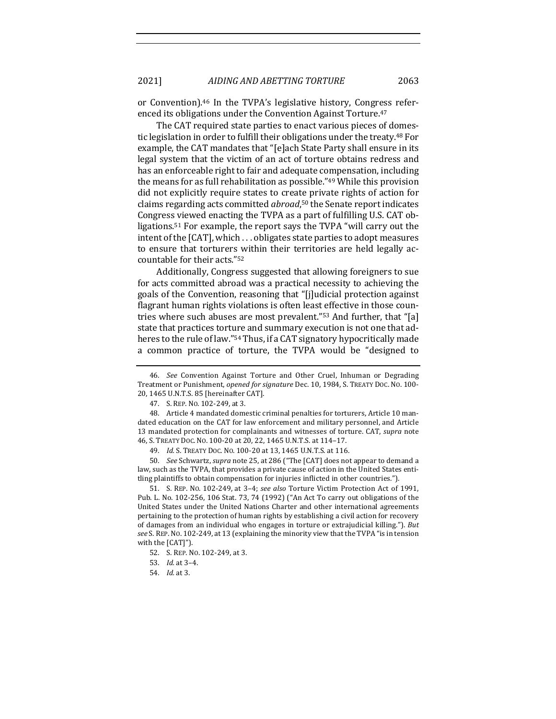or Convention).<sup>46</sup> In the TVPA's legislative history, Congress referenced its obligations under the Convention Against Torture.<sup>47</sup>

The CAT required state parties to enact various pieces of domestic legislation in order to fulfill their obligations under the treaty.<sup>48</sup> For example, the CAT mandates that "[e]ach State Party shall ensure in its legal system that the victim of an act of torture obtains redress and has an enforceable right to fair and adequate compensation, including the means for as full rehabilitation as possible." $49$  While this provision did not explicitly require states to create private rights of action for claims regarding acts committed *abroad*,<sup>50</sup> the Senate report indicates Congress viewed enacting the TVPA as a part of fulfilling U.S. CAT obligations.<sup>51</sup> For example, the report says the TVPA "will carry out the intent of the  $\lceil CAT \rceil$ , which  $\ldots$  obligates state parties to adopt measures to ensure that torturers within their territories are held legally accountable for their acts."<sup>52</sup>

Additionally, Congress suggested that allowing foreigners to sue for acts committed abroad was a practical necessity to achieving the goals of the Convention, reasoning that "[j]udicial protection against flagrant human rights violations is often least effective in those countries where such abuses are most prevalent."<sup>53</sup> And further, that "[a] state that practices torture and summary execution is not one that adheres to the rule of law."<sup>54</sup> Thus, if a CAT signatory hypocritically made a common practice of torture, the TVPA would be "designed to

50. *See* Schwartz, *supra* note 25, at 286 ("The [CAT] does not appear to demand a law, such as the TVPA, that provides a private cause of action in the United States entitling plaintiffs to obtain compensation for injuries inflicted in other countries.").

51. S. REP. No. 102-249, at 3-4; see also Torture Victim Protection Act of 1991, Pub. L. No. 102-256, 106 Stat. 73, 74 (1992) ("An Act To carry out obligations of the United States under the United Nations Charter and other international agreements pertaining to the protection of human rights by establishing a civil action for recovery of damages from an individual who engages in torture or extrajudicial killing."). But see S. REP. No. 102-249, at 13 (explaining the minority view that the TVPA "is in tension with the [CAT]").

<sup>46.</sup> *See* Convention Against Torture and Other Cruel, Inhuman or Degrading Treatment or Punishment, *opened for signature* Dec. 10, 1984, S. TREATY Doc. No. 100-20, 1465 U.N.T.S. 85 [hereinafter CAT].

<sup>47.</sup> S. REP. No. 102-249. at 3.

<sup>48.</sup> Article 4 mandated domestic criminal penalties for torturers, Article 10 mandated education on the CAT for law enforcement and military personnel, and Article 13 mandated protection for complainants and witnesses of torture. CAT, *supra* note 46, S. TREATY DOC. NO. 100-20 at 20, 22, 1465 U.N.T.S. at 114-17.

<sup>49.</sup> *Id.* S. TREATY DOC. NO. 100-20 at 13, 1465 U.N.T.S. at 116.

<sup>52.</sup> S. REP. No. 102-249, at 3.

<sup>53.</sup> *Id.* at 3–4. 

<sup>54.</sup> *Id.* at 3.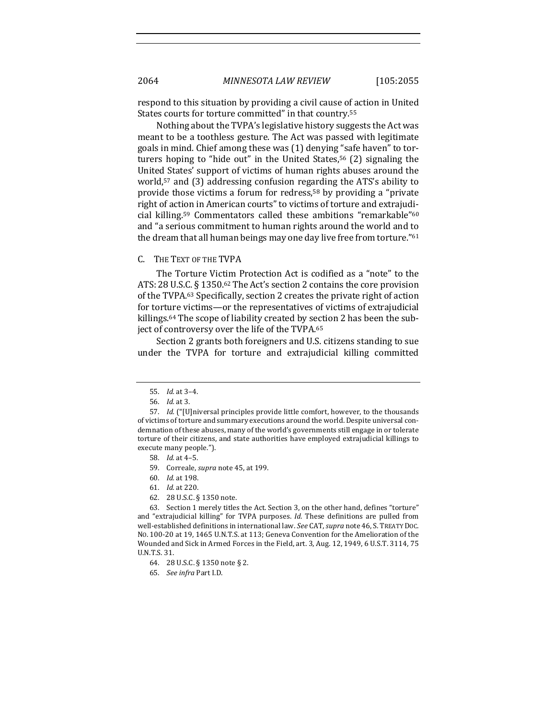respond to this situation by providing a civil cause of action in United States courts for torture committed" in that country.<sup>55</sup>

Nothing about the TVPA's legislative history suggests the Act was meant to be a toothless gesture. The Act was passed with legitimate goals in mind. Chief among these was (1) denying "safe haven" to torturers hoping to "hide out" in the United States,<sup>56</sup> (2) signaling the United States' support of victims of human rights abuses around the world,<sup>57</sup> and  $(3)$  addressing confusion regarding the ATS's ability to provide those victims a forum for redress,<sup>58</sup> by providing a "private" right of action in American courts" to victims of torture and extrajudicial killing.<sup>59</sup> Commentators called these ambitions "remarkable"<sup>60</sup> and "a serious commitment to human rights around the world and to the dream that all human beings may one day live free from torture."<sup>61</sup>

#### C. THE TEXT OF THE TVPA

The Torture Victim Protection Act is codified as a "note" to the ATS: 28 U.S.C.  $\S$  1350.<sup>62</sup> The Act's section 2 contains the core provision of the TVPA.<sup>63</sup> Specifically, section 2 creates the private right of action for torture victims—or the representatives of victims of extrajudicial killings.<sup>64</sup> The scope of liability created by section 2 has been the subject of controversy over the life of the TVPA.<sup>65</sup>

Section 2 grants both foreigners and U.S. citizens standing to sue under the TVPA for torture and extrajudicial killing committed

63. Section 1 merely titles the Act. Section 3, on the other hand, defines "torture" and "extrajudicial killing" for TVPA purposes. *Id.* These definitions are pulled from well-established definitions in international law. See CAT, supra note 46, S. TREATY DOC. No. 100-20 at 19, 1465 U.N.T.S. at 113; Geneva Convention for the Amelioration of the Wounded and Sick in Armed Forces in the Field, art. 3, Aug. 12, 1949, 6 U.S.T. 3114, 75 U.N.T.S. 31.

<sup>55.</sup> *Id.* at 3–4.

<sup>56.</sup> *Id.* at 3. 

<sup>57.</sup> *Id.* ("[U]niversal principles provide little comfort, however, to the thousands of victims of torture and summary executions around the world. Despite universal condemnation of these abuses, many of the world's governments still engage in or tolerate torture of their citizens, and state authorities have employed extrajudicial killings to execute many people.").

<sup>58.</sup> *Id.* at 4–5.

<sup>59.</sup> Correale, *supra* note 45, at 199.

<sup>60.</sup> *Id.* at 198.

<sup>61.</sup> *Id.* at 220. 

<sup>62. 28</sup> U.S.C. § 1350 note.

<sup>64. 28</sup> U.S.C. § 1350 note § 2.

<sup>65.</sup> *See infra* Part I.D.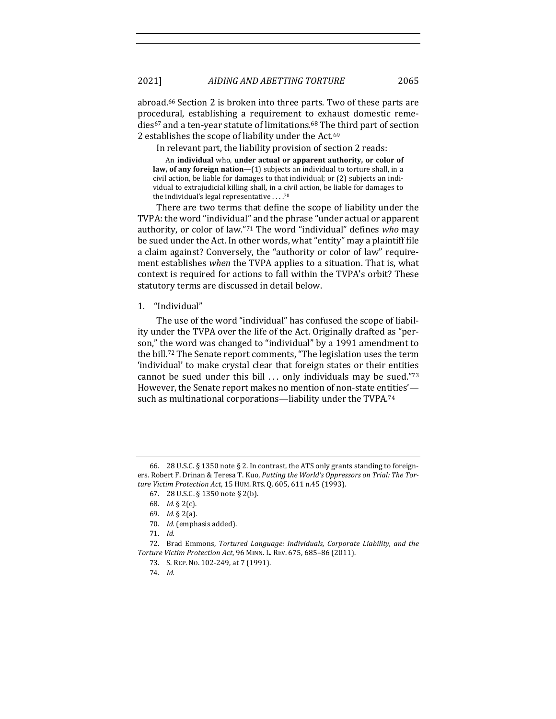abroad.<sup>66</sup> Section 2 is broken into three parts. Two of these parts are procedural, establishing a requirement to exhaust domestic remedies<sup>67</sup> and a ten-year statute of limitations.<sup>68</sup> The third part of section 2 establishes the scope of liability under the Act.<sup>69</sup>

In relevant part, the liability provision of section 2 reads:

An individual who, under actual or apparent authority, or color of **law, of any foreign nation**—(1) subjects an individual to torture shall, in a civil action, be liable for damages to that individual; or (2) subjects an individual to extrajudicial killing shall, in a civil action, be liable for damages to the individual's legal representative  $\dots$ .<sup>70</sup>

There are two terms that define the scope of liability under the TVPA: the word "individual" and the phrase "under actual or apparent authority, or color of law."<sup>71</sup> The word "individual" defines who may be sued under the Act. In other words, what "entity" may a plaintiff file a claim against? Conversely, the "authority or color of law" requirement establishes *when* the TVPA applies to a situation. That is, what context is required for actions to fall within the TVPA's orbit? These statutory terms are discussed in detail below.

1. "Individual" 

The use of the word "individual" has confused the scope of liability under the TVPA over the life of the Act. Originally drafted as "person," the word was changed to "individual" by a 1991 amendment to the bill.<sup>72</sup> The Senate report comments, "The legislation uses the term 'individual' to make crystal clear that foreign states or their entities cannot be sued under this bill  $\ldots$  only individuals may be sued."73 However, the Senate report makes no mention of non-state entities' such as multinational corporations—liability under the TVPA.74

<sup>66. 28</sup> U.S.C. § 1350 note § 2. In contrast, the ATS only grants standing to foreigners. Robert F. Drinan & Teresa T. Kuo, *Putting the World's Oppressors on Trial: The Torture Victim Protection Act*, 15 HUM. RTS. Q. 605, 611 n.45 (1993). 

<sup>67. 28</sup> U.S.C. § 1350 note § 2(b).

<sup>68.</sup> *Id.* § 2(c).

<sup>69.</sup> *Id.* § 2(a).

<sup>70.</sup> *Id.* (emphasis added).

<sup>71.</sup> *Id.*

<sup>72.</sup> Brad Emmons, *Tortured Language: Individuals, Corporate Liability, and the Torture Victim Protection Act*, 96 MINN. L. REV. 675, 685–86 (2011). 

<sup>73.</sup> S. REP. No. 102-249, at 7 (1991).

<sup>74.</sup> *Id.*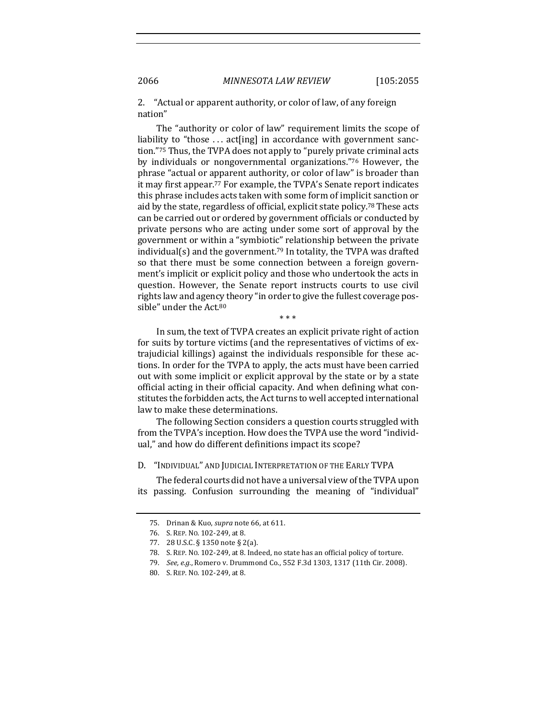2. "Actual or apparent authority, or color of law, of any foreign nation" 

The "authority or color of law" requirement limits the scope of liability to "those ... act[ing] in accordance with government sanction."<sup>75</sup> Thus, the TVPA does not apply to "purely private criminal acts by individuals or nongovernmental organizations."76 However, the phrase "actual or apparent authority, or color of law" is broader than it may first appear.<sup>77</sup> For example, the TVPA's Senate report indicates this phrase includes acts taken with some form of implicit sanction or aid by the state, regardless of official, explicit state policy.<sup>78</sup> These acts can be carried out or ordered by government officials or conducted by private persons who are acting under some sort of approval by the government or within a "symbiotic" relationship between the private individual(s) and the government.<sup>79</sup> In totality, the TVPA was drafted so that there must be some connection between a foreign government's implicit or explicit policy and those who undertook the acts in question. However, the Senate report instructs courts to use civil rights law and agency theory "in order to give the fullest coverage possible" under the Act.<sup>80</sup>

In sum, the text of TVPA creates an explicit private right of action for suits by torture victims (and the representatives of victims of extrajudicial killings) against the individuals responsible for these actions. In order for the TVPA to apply, the acts must have been carried out with some implicit or explicit approval by the state or by a state official acting in their official capacity. And when defining what constitutes the forbidden acts, the Act turns to well accepted international law to make these determinations.

\* \* \*

The following Section considers a question courts struggled with from the TVPA's inception. How does the TVPA use the word "individual," and how do different definitions impact its scope?

D. "INDIVIDUAL" AND JUDICIAL INTERPRETATION OF THE EARLY TVPA

The federal courts did not have a universal view of the TVPA upon its passing. Confusion surrounding the meaning of "individual"

<sup>75.</sup> Drinan & Kuo, *supra* note 66, at 611.

<sup>76.</sup> S. REP. No. 102-249, at 8.

<sup>77. 28</sup> U.S.C. § 1350 note § 2(a).

<sup>78.</sup> S. REP. No. 102-249, at 8. Indeed, no state has an official policy of torture.

<sup>79.</sup> *See, e.g.*, Romero v. Drummond Co., 552 F.3d 1303, 1317 (11th Cir. 2008).

<sup>80.</sup> S. REP. No. 102-249, at 8.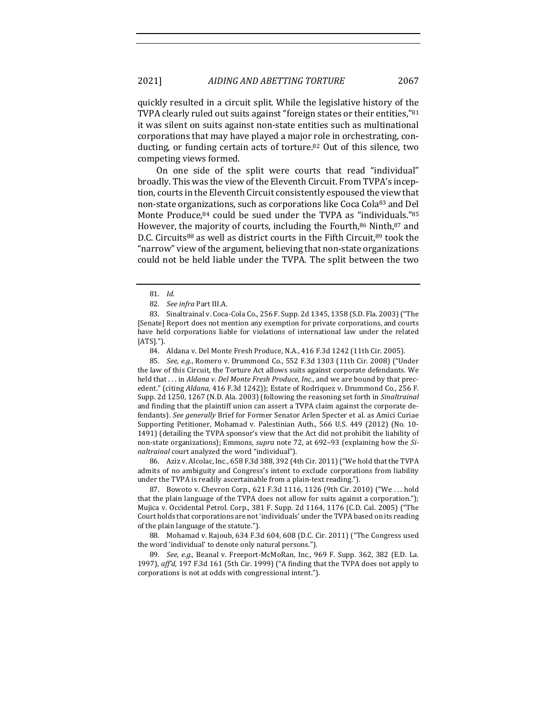quickly resulted in a circuit split. While the legislative history of the TVPA clearly ruled out suits against "foreign states or their entities,"<sup>81</sup> it was silent on suits against non-state entities such as multinational corporations that may have played a major role in orchestrating, conducting, or funding certain acts of torture.<sup>82</sup> Out of this silence, two competing views formed.

On one side of the split were courts that read "individual" broadly. This was the view of the Eleventh Circuit. From TVPA's inception, courts in the Eleventh Circuit consistently espoused the view that non-state organizations, such as corporations like Coca Cola83 and Del Monte Produce, $84$  could be sued under the TVPA as "individuals." $85$ However, the majority of courts, including the Fourth, $86$  Ninth, $87$  and D.C. Circuits<sup>88</sup> as well as district courts in the Fifth Circuit, 89 took the " narrow" view of the argument, believing that non-state organizations could not be held liable under the TVPA. The split between the two

83. Sinaltrainal v. Coca-Cola Co., 256 F. Supp. 2d 1345, 1358 (S.D. Fla. 2003) ("The [Senate] Report does not mention any exemption for private corporations, and courts have held corporations liable for violations of international law under the related [ATS]."). 

84. Aldana v. Del Monte Fresh Produce, N.A., 416 F.3d 1242 (11th Cir. 2005).

85. *See, e.g.*, Romero v. Drummond Co., 552 F.3d 1303 (11th Cir. 2008) ("Under the law of this Circuit, the Torture Act allows suits against corporate defendants. We held that ... in *Aldana v. Del Monte Fresh Produce, Inc.*, and we are bound by that precedent." (citing *Aldana*, 416 F.3d 1242)); Estate of Rodriquez v. Drummond Co., 256 F. Supp. 2d 1250, 1267 (N.D. Ala. 2003) (following the reasoning set forth in *Sinaltrainal* and finding that the plaintiff union can assert a TVPA claim against the corporate defendants). See generally Brief for Former Senator Arlen Specter et al. as Amici Curiae Supporting Petitioner, Mohamad v. Palestinian Auth., 566 U.S. 449 (2012) (No. 10-1491) (detailing the TVPA sponsor's view that the Act did not prohibit the liability of non-state organizations); Emmons, *supra* note 72, at 692-93 (explaining how the Si*naltrainal* court analyzed the word "individual").

86. Aziz v. Alcolac, Inc., 658 F.3d 388, 392 (4th Cir. 2011) ("We hold that the TVPA admits of no ambiguity and Congress's intent to exclude corporations from liability under the TVPA is readily ascertainable from a plain-text reading.").

87. Bowoto v. Chevron Corp., 621 F.3d 1116, 1126 (9th Cir. 2010) ("We ... hold that the plain language of the TVPA does not allow for suits against a corporation."); Mujica v. Occidental Petrol. Corp., 381 F. Supp. 2d 1164, 1176 (C.D. Cal. 2005) ("The Court holds that corporations are not 'individuals' under the TVPA based on its reading of the plain language of the statute.").

88. Mohamad v. Rajoub, 634 F.3d 604, 608 (D.C. Cir. 2011) ("The Congress used the word 'individual' to denote only natural persons.").

89. *See, e.g.*, Beanal v. Freeport-McMoRan, Inc., 969 F. Supp. 362, 382 (E.D. La. 1997), *aff'd*, 197 F.3d 161 (5th Cir. 1999) ("A finding that the TVPA does not apply to corporations is not at odds with congressional intent.").

<sup>81.</sup> *Id.*

<sup>82.</sup> *See infra Part III.A.*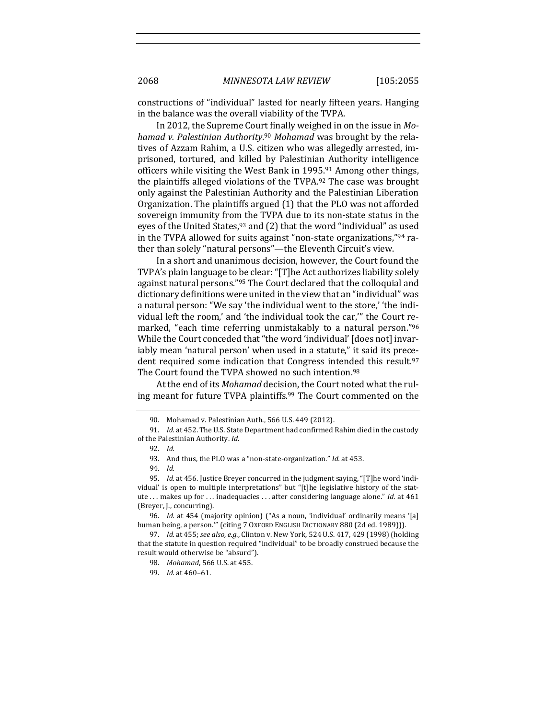constructions of "individual" lasted for nearly fifteen years. Hanging in the balance was the overall viability of the TVPA.

In 2012, the Supreme Court finally weighed in on the issue in *Mo*hamad v. Palestinian Authority.<sup>90</sup> Mohamad was brought by the relatives of Azzam Rahim, a U.S. citizen who was allegedly arrested, imprisoned, tortured, and killed by Palestinian Authority intelligence officers while visiting the West Bank in 1995.<sup>91</sup> Among other things, the plaintiffs alleged violations of the TVPA.<sup>92</sup> The case was brought only against the Palestinian Authority and the Palestinian Liberation Organization. The plaintiffs argued (1) that the PLO was not afforded sovereign immunity from the TVPA due to its non-state status in the eyes of the United States, $93$  and (2) that the word "individual" as used in the TVPA allowed for suits against "non-state organizations,"94 rather than solely "natural persons"-the Eleventh Circuit's view.

In a short and unanimous decision, however, the Court found the TVPA's plain language to be clear: "[T]he Act authorizes liability solely against natural persons."<sup>95</sup> The Court declared that the colloquial and dictionary definitions were united in the view that an "individual" was a natural person: "We say 'the individual went to the store,' 'the individual left the room,' and 'the individual took the car,"' the Court remarked, "each time referring unmistakably to a natural person."<sup>96</sup> While the Court conceded that "the word 'individual' [does not] invariably mean 'natural person' when used in a statute," it said its precedent required some indication that Congress intended this result.<sup>97</sup> The Court found the TVPA showed no such intention.<sup>98</sup>

At the end of its *Mohamad* decision, the Court noted what the ruling meant for future TVPA plaintiffs.<sup>99</sup> The Court commented on the

<sup>90.</sup> Mohamad v. Palestinian Auth., 566 U.S. 449 (2012).

<sup>91.</sup> *Id.* at 452. The U.S. State Department had confirmed Rahim died in the custody of the Palestinian Authority. *Id.* 

<sup>92.</sup> *Id.*

<sup>93.</sup> And thus, the PLO was a "non-state-organization." *Id.* at 453.

<sup>94.</sup> *Id.*

<sup>95.</sup> *Id.* at 456. Justice Breyer concurred in the judgment saying, "[T]he word 'individual' is open to multiple interpretations" but "[t]he legislative history of the statute ... makes up for ... inadequacies ... after considering language alone." *Id.* at 461 (Breyer, J., concurring).

<sup>96.</sup> *Id.* at 454 (majority opinion) ("As a noun, 'individual' ordinarily means '[a] human being, a person."" (citing 7 OXFORD ENGLISH DICTIONARY 880 (2d ed. 1989))).

<sup>97.</sup> *Id.* at 455; *see also, e.g.*, Clinton v. New York, 524 U.S. 417, 429 (1998) (holding that the statute in question required "individual" to be broadly construed because the result would otherwise be "absurd").

<sup>98.</sup> *Mohamad*, 566 U.S. at 455.

<sup>99.</sup> *Id.* at  $460-61$ .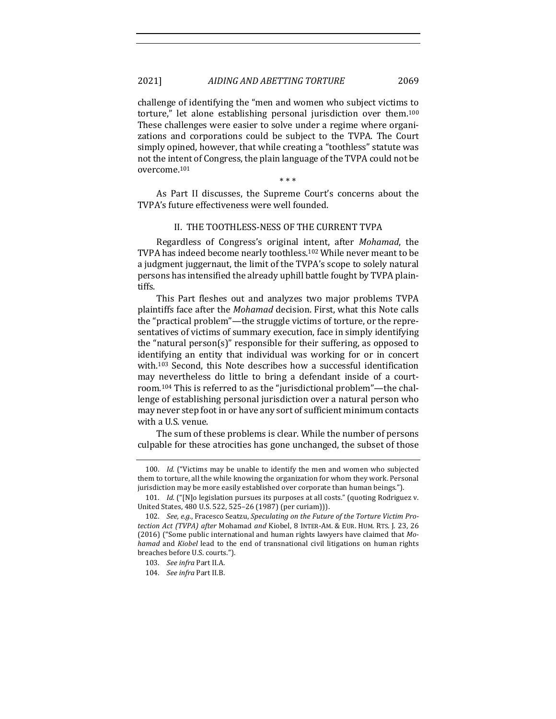challenge of identifying the "men and women who subject victims to torture," let alone establishing personal jurisdiction over them.<sup>100</sup> These challenges were easier to solve under a regime where organizations and corporations could be subject to the TVPA. The Court simply opined, however, that while creating a "toothless" statute was not the intent of Congress, the plain language of the TVPA could not be overcome.101

\* \* \*

As Part II discusses, the Supreme Court's concerns about the TVPA's future effectiveness were well founded.

## II. THE TOOTHLESS-NESS OF THE CURRENT TVPA

Regardless of Congress's original intent, after *Mohamad*, the TVPA has indeed become nearly toothless.<sup>102</sup> While never meant to be a judgment juggernaut, the limit of the TVPA's scope to solely natural persons has intensified the already uphill battle fought by TVPA plaintiffs. 

This Part fleshes out and analyzes two major problems TVPA plaintiffs face after the *Mohamad* decision. First, what this Note calls the "practical problem"—the struggle victims of torture, or the representatives of victims of summary execution, face in simply identifying the "natural person(s)" responsible for their suffering, as opposed to identifying an entity that individual was working for or in concert with.<sup>103</sup> Second, this Note describes how a successful identification may nevertheless do little to bring a defendant inside of a courtroom.<sup>104</sup> This is referred to as the "jurisdictional problem"—the challenge of establishing personal jurisdiction over a natural person who may never step foot in or have any sort of sufficient minimum contacts with a U.S. venue.

The sum of these problems is clear. While the number of persons culpable for these atrocities has gone unchanged, the subset of those

<sup>100.</sup> *Id.* ("Victims may be unable to identify the men and women who subjected them to torture, all the while knowing the organization for whom they work. Personal jurisdiction may be more easily established over corporate than human beings.").

<sup>101.</sup> *Id.* ("[N]o legislation pursues its purposes at all costs." (quoting Rodriguez v. United States, 480 U.S. 522, 525-26 (1987) (per curiam))).

<sup>102.</sup> See, e.g., Fracesco Seatzu, Speculating on the Future of the Torture Victim Pro*tection Act (TVPA) after Mohamad and Kiobel, 8 INTER-AM. & EUR. HUM. RTS. J. 23, 26* (2016) ("Some public international and human rights lawyers have claimed that Mo*hamad* and *Kiobel* lead to the end of transnational civil litigations on human rights breaches before U.S. courts.").

<sup>103.</sup> *See infra Part II.A.* 

<sup>104.</sup> *See infra Part II.B.*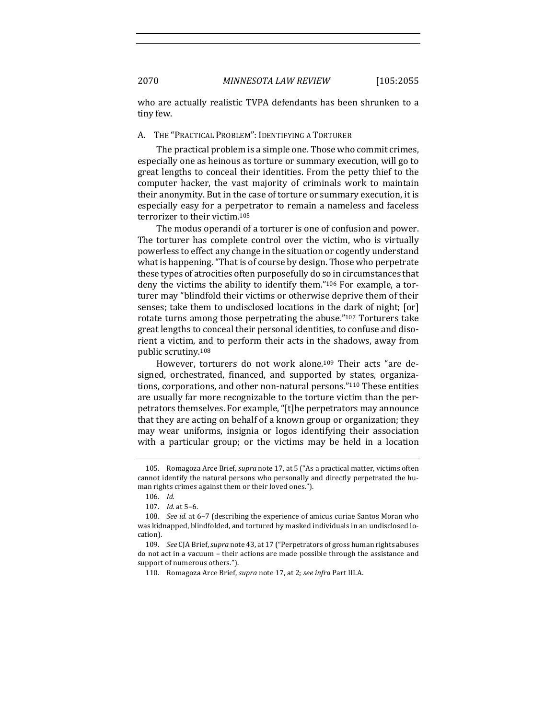who are actually realistic TVPA defendants has been shrunken to a tiny few.

#### A. THE "PRACTICAL PROBLEM": IDENTIFYING A TORTURER

The practical problem is a simple one. Those who commit crimes, especially one as heinous as torture or summary execution, will go to great lengths to conceal their identities. From the petty thief to the computer hacker, the vast majority of criminals work to maintain their anonymity. But in the case of torture or summary execution, it is especially easy for a perpetrator to remain a nameless and faceless terrorizer to their victim.<sup>105</sup>

The modus operandi of a torturer is one of confusion and power. The torturer has complete control over the victim, who is virtually powerless to effect any change in the situation or cogently understand what is happening. "That is of course by design. Those who perpetrate these types of atrocities often purposefully do so in circumstances that deny the victims the ability to identify them." $106$  For example, a torturer may "blindfold their victims or otherwise deprive them of their senses; take them to undisclosed locations in the dark of night; [or] rotate turns among those perpetrating the abuse."<sup>107</sup> Torturers take great lengths to conceal their personal identities, to confuse and disorient a victim, and to perform their acts in the shadows, away from public scrutiny.<sup>108</sup>

However, torturers do not work alone.<sup>109</sup> Their acts "are designed, orchestrated, financed, and supported by states, organizations, corporations, and other non-natural persons."<sup>110</sup> These entities are usually far more recognizable to the torture victim than the perpetrators themselves. For example, "[t]he perpetrators may announce that they are acting on behalf of a known group or organization; they may wear uniforms, insignia or logos identifying their association with a particular group; or the victims may be held in a location

<sup>105.</sup> Romagoza Arce Brief, *supra* note 17, at 5 ("As a practical matter, victims often cannot identify the natural persons who personally and directly perpetrated the human rights crimes against them or their loved ones.").

<sup>106.</sup> *Id.*

<sup>107.</sup> *Id.* at 5–6. 

<sup>108.</sup> *See id.* at 6-7 (describing the experience of amicus curiae Santos Moran who was kidnapped, blindfolded, and tortured by masked individuals in an undisclosed location). 

<sup>109.</sup> *See* CJA Brief, *supra* note 43, at 17 ("Perpetrators of gross human rights abuses do not act in a vacuum - their actions are made possible through the assistance and support of numerous others.").

<sup>110.</sup> Romagoza Arce Brief, *supra* note 17, at 2; *see infra* Part III.A.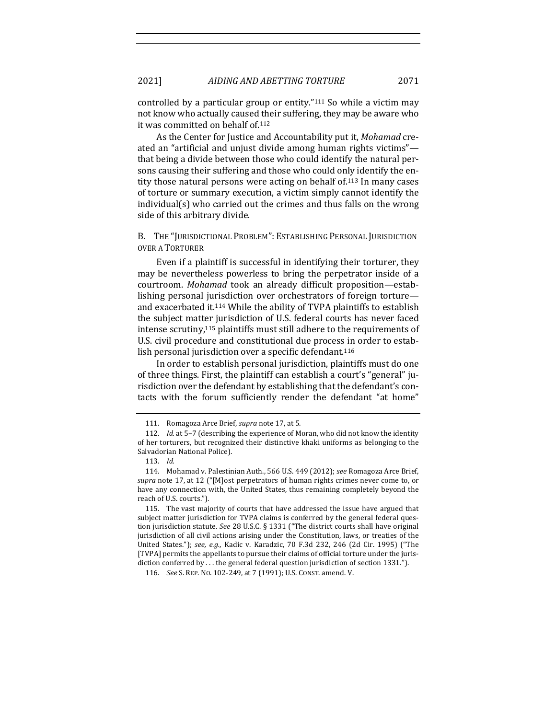controlled by a particular group or entity."<sup>111</sup> So while a victim may not know who actually caused their suffering, they may be aware who it was committed on behalf of.<sup>112</sup>

As the Center for Justice and Accountability put it, *Mohamad* created an "artificial and unjust divide among human rights victims" that being a divide between those who could identify the natural persons causing their suffering and those who could only identify the entity those natural persons were acting on behalf of  $113$  In many cases of torture or summary execution, a victim simply cannot identify the  $indivial(s)$  who carried out the crimes and thus falls on the wrong side of this arbitrary divide.

B. THE "JURISDICTIONAL PROBLEM": ESTABLISHING PERSONAL JURISDICTION OVER A TORTURER

Even if a plaintiff is successful in identifying their torturer, they may be nevertheless powerless to bring the perpetrator inside of a courtroom. *Mohamad* took an already difficult proposition—establishing personal jurisdiction over orchestrators of foreign torture and exacerbated it.<sup>114</sup> While the ability of TVPA plaintiffs to establish the subject matter jurisdiction of U.S. federal courts has never faced intense scrutiny, $115$  plaintiffs must still adhere to the requirements of U.S. civil procedure and constitutional due process in order to establish personal jurisdiction over a specific defendant.<sup>116</sup>

In order to establish personal jurisdiction, plaintiffs must do one of three things. First, the plaintiff can establish a court's "general" jurisdiction over the defendant by establishing that the defendant's contacts with the forum sufficiently render the defendant "at home"

<sup>111.</sup> Romagoza Arce Brief, *supra* note 17, at 5.

<sup>112.</sup> *Id.* at 5-7 (describing the experience of Moran, who did not know the identity of her torturers, but recognized their distinctive khaki uniforms as belonging to the Salvadorian National Police).

<sup>113.</sup> *Id.*

<sup>114.</sup> Mohamad v. Palestinian Auth., 566 U.S. 449 (2012); *see* Romagoza Arce Brief, *supra* note 17, at 12 ("[M]ost perpetrators of human rights crimes never come to, or have any connection with, the United States, thus remaining completely beyond the reach of U.S. courts.").

<sup>115.</sup> The vast majority of courts that have addressed the issue have argued that subject matter jurisdiction for TVPA claims is conferred by the general federal question jurisdiction statute. See 28 U.S.C. § 1331 ("The district courts shall have original jurisdiction of all civil actions arising under the Constitution, laws, or treaties of the United States."); see, e.g., Kadic v. Karadzic, 70 F.3d 232, 246 (2d Cir. 1995) ("The [TVPA] permits the appellants to pursue their claims of official torture under the jurisdiction conferred by ... the general federal question jurisdiction of section 1331.").

<sup>116.</sup> *See* S. REP. No. 102-249, at 7 (1991); U.S. CONST. amend. V.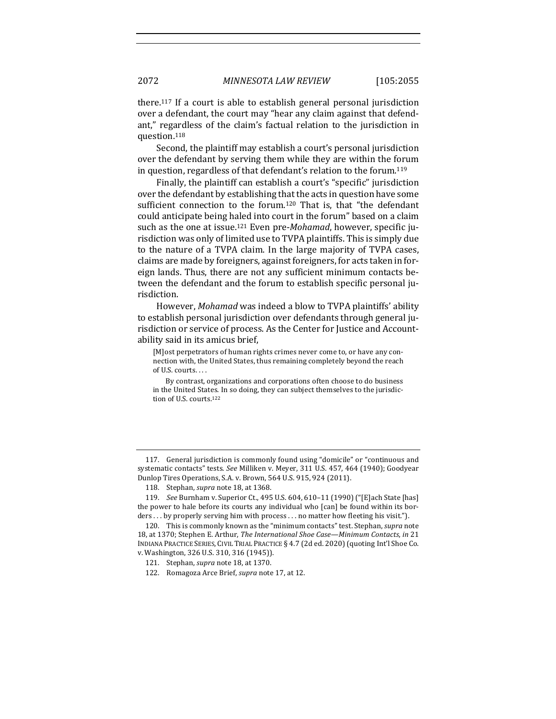there.<sup>117</sup> If a court is able to establish general personal jurisdiction over a defendant, the court may "hear any claim against that defendant," regardless of the claim's factual relation to the jurisdiction in question.118

Second, the plaintiff may establish a court's personal jurisdiction over the defendant by serving them while they are within the forum in question, regardless of that defendant's relation to the forum.<sup>119</sup>

Finally, the plaintiff can establish a court's "specific" jurisdiction over the defendant by establishing that the acts in question have some sufficient connection to the forum.<sup>120</sup> That is, that "the defendant could anticipate being haled into court in the forum" based on a claim such as the one at issue.<sup>121</sup> Even pre-*Mohamad*, however, specific jurisdiction was only of limited use to TVPA plaintiffs. This is simply due to the nature of a TVPA claim. In the large majority of TVPA cases, claims are made by foreigners, against foreigners, for acts taken in foreign lands. Thus, there are not any sufficient minimum contacts between the defendant and the forum to establish specific personal jurisdiction. 

However, *Mohamad* was indeed a blow to TVPA plaintiffs' ability to establish personal jurisdiction over defendants through general jurisdiction or service of process. As the Center for Justice and Accountability said in its amicus brief,

[M]ost perpetrators of human rights crimes never come to, or have any connection with, the United States, thus remaining completely beyond the reach of U.S. courts. . . .

By contrast, organizations and corporations often choose to do business in the United States. In so doing, they can subject themselves to the jurisdiction of U.S. courts.<sup>122</sup>

117. General jurisdiction is commonly found using "domicile" or "continuous and systematic contacts" tests. See Milliken v. Meyer, 311 U.S. 457, 464 (1940); Goodyear Dunlop Tires Operations, S.A. v. Brown, 564 U.S. 915, 924 (2011).

<sup>118.</sup> Stephan, *supra* note 18, at 1368.

<sup>119.</sup> *See* Burnham v. Superior Ct., 495 U.S. 604, 610-11 (1990) ("[E]ach State [has] the power to hale before its courts any individual who [can] be found within its bor $ders...$  by properly serving him with process ... no matter how fleeting his visit.").

<sup>120.</sup> This is commonly known as the "minimum contacts" test. Stephan, *supra* note 18, at 1370; Stephen E. Arthur, *The International Shoe Case—Minimum Contacts*, *in* 21 INDIANA PRACTICE SERIES, CIVIL TRIAL PRACTICE § 4.7 (2d ed. 2020) (quoting Int'l Shoe Co. v. Washington, 326 U.S. 310, 316 (1945)).

<sup>121.</sup> Stephan, *supra* note 18, at 1370.

<sup>122.</sup> Romagoza Arce Brief, *supra* note 17, at 12.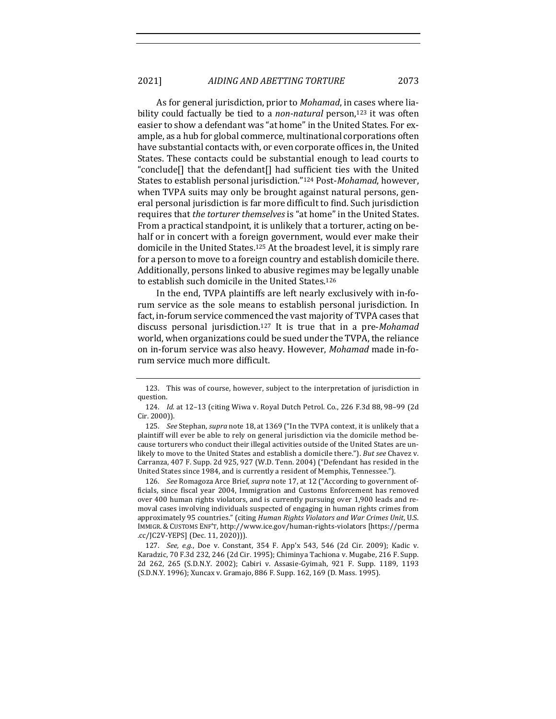As for general jurisdiction, prior to *Mohamad*, in cases where liability could factually be tied to a *non-natural* person,<sup>123</sup> it was often easier to show a defendant was "at home" in the United States. For example, as a hub for global commerce, multinational corporations often have substantial contacts with, or even corporate offices in, the United States. These contacts could be substantial enough to lead courts to "conclude<sup>[]</sup> that the defendant<sup>[]</sup> had sufficient ties with the United States to establish personal jurisdiction."<sup>124</sup> Post-*Mohamad*, however, when TVPA suits may only be brought against natural persons, general personal jurisdiction is far more difficult to find. Such jurisdiction requires that *the torturer themselves* is "at home" in the United States. From a practical standpoint, it is unlikely that a torturer, acting on behalf or in concert with a foreign government, would ever make their domicile in the United States.<sup>125</sup> At the broadest level, it is simply rare for a person to move to a foreign country and establish domicile there. Additionally, persons linked to abusive regimes may be legally unable to establish such domicile in the United States.<sup>126</sup>

In the end, TVPA plaintiffs are left nearly exclusively with in-forum service as the sole means to establish personal jurisdiction. In fact, in-forum service commenced the vast majority of TVPA cases that discuss personal jurisdiction.<sup>127</sup> It is true that in a pre-*Mohamad* world, when organizations could be sued under the TVPA, the reliance on in-forum service was also heavy. However, *Mohamad* made in-forum service much more difficult.

126. *See* Romagoza Arce Brief, *supra* note 17, at 12 ("According to government officials, since fiscal year 2004, Immigration and Customs Enforcement has removed over 400 human rights violators, and is currently pursuing over 1,900 leads and removal cases involving individuals suspected of engaging in human rights crimes from approximately 95 countries." (citing *Human Rights Violators and War Crimes Unit*, U.S. IMMIGR. & CUSTOMS ENF'T, http://www.ice.gov/human-rights-violators [https://perma .cc/JC2V-YEPS] (Dec. 11, 2020))).

127. *See, e.g.*, Doe v. Constant, 354 F. App'x 543, 546 (2d Cir. 2009); Kadic v. Karadzic, 70 F.3d 232, 246 (2d Cir. 1995); Chiminya Tachiona v. Mugabe, 216 F. Supp. 2d 262, 265 (S.D.N.Y. 2002); Cabiri v. Assasie-Gyimah, 921 F. Supp. 1189, 1193 (S.D.N.Y. 1996); Xuncax v. Gramajo, 886 F. Supp. 162, 169 (D. Mass. 1995).

<sup>123.</sup> This was of course, however, subject to the interpretation of jurisdiction in question. 

<sup>124.</sup> *Id.* at 12-13 (citing Wiwa v. Royal Dutch Petrol. Co., 226 F.3d 88, 98-99 (2d Cir. 2000)).

<sup>125.</sup> *See* Stephan, *supra* note 18, at 1369 ("In the TVPA context, it is unlikely that a plaintiff will ever be able to rely on general jurisdiction via the domicile method because torturers who conduct their illegal activities outside of the United States are unlikely to move to the United States and establish a domicile there."). But see Chavez v. Carranza, 407 F. Supp. 2d 925, 927 (W.D. Tenn. 2004) ("Defendant has resided in the United States since 1984, and is currently a resident of Memphis, Tennessee.").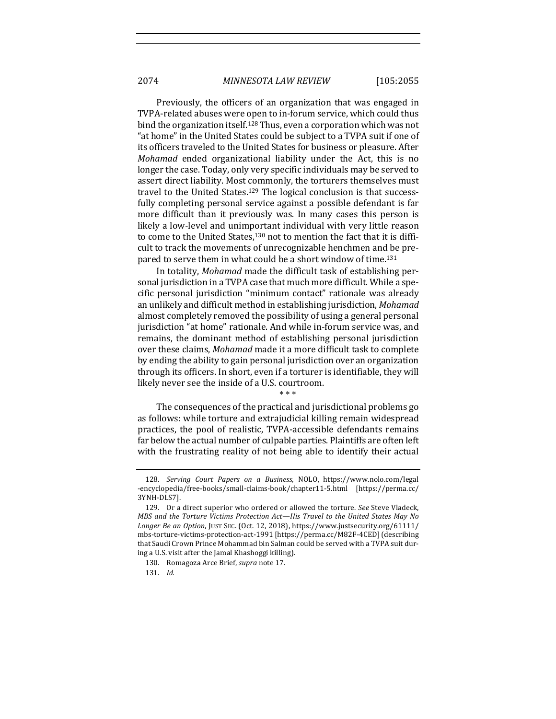Previously, the officers of an organization that was engaged in TVPA-related abuses were open to in-forum service, which could thus bind the organization itself.<sup>128</sup> Thus, even a corporation which was not " at home" in the United States could be subject to a TVPA suit if one of its officers traveled to the United States for business or pleasure. After *Mohamad* ended organizational liability under the Act, this is no longer the case. Today, only very specific individuals may be served to assert direct liability. Most commonly, the torturers themselves must travel to the United States.<sup>129</sup> The logical conclusion is that successfully completing personal service against a possible defendant is far more difficult than it previously was. In many cases this person is likely a low-level and unimportant individual with very little reason to come to the United States,<sup>130</sup> not to mention the fact that it is difficult to track the movements of unrecognizable henchmen and be prepared to serve them in what could be a short window of time.<sup>131</sup>

In totality, *Mohamad* made the difficult task of establishing personal jurisdiction in a TVPA case that much more difficult. While a specific personal jurisdiction "minimum contact" rationale was already an unlikely and difficult method in establishing jurisdiction, Mohamad almost completely removed the possibility of using a general personal jurisdiction "at home" rationale. And while in-forum service was, and remains, the dominant method of establishing personal jurisdiction over these claims, *Mohamad* made it a more difficult task to complete by ending the ability to gain personal jurisdiction over an organization through its officers. In short, even if a torturer is identifiable, they will likely never see the inside of a U.S. courtroom.

\* \* \*

The consequences of the practical and jurisdictional problems go as follows: while torture and extrajudicial killing remain widespread practices, the pool of realistic, TVPA-accessible defendants remains far below the actual number of culpable parties. Plaintiffs are often left with the frustrating reality of not being able to identify their actual

<sup>128.</sup> *Serving Court Papers on a Business*, NOLO, https://www.nolo.com/legal -encyclopedia/free-books/small-claims-book/chapter11-5.html [https://perma.cc/ 3YNH-DLS7]. 

<sup>129.</sup> Or a direct superior who ordered or allowed the torture. See Steve Vladeck, *MBS* and the Torture Victims Protection Act—His Travel to the United States May No *Longer Be an Option*, JUST SEC. (Oct. 12, 2018), https://www.justsecurity.org/61111/ mbs-torture-victims-protection-act-1991 [https://perma.cc/M82F-4CED](describing that Saudi Crown Prince Mohammad bin Salman could be served with a TVPA suit during a U.S. visit after the Jamal Khashoggi killing).

<sup>130.</sup> Romagoza Arce Brief, *supra* note 17.

<sup>131.</sup> *Id.*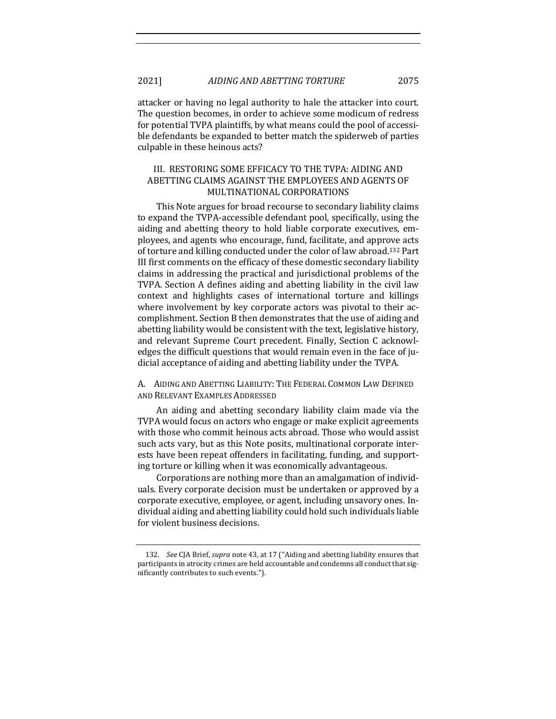attacker or having no legal authority to hale the attacker into court. The question becomes, in order to achieve some modicum of redress for potential TVPA plaintiffs, by what means could the pool of accessible defendants be expanded to better match the spiderweb of parties culpable in these heinous acts?

## III. RESTORING SOME EFFICACY TO THE TVPA: AIDING AND ABETTING CLAIMS AGAINST THE EMPLOYEES AND AGENTS OF MULTINATIONAL CORPORATIONS

This Note argues for broad recourse to secondary liability claims to expand the TVPA-accessible defendant pool, specifically, using the aiding and abetting theory to hold liable corporate executives, employees, and agents who encourage, fund, facilitate, and approve acts of torture and killing conducted under the color of law abroad.<sup>132</sup> Part III first comments on the efficacy of these domestic secondary liability claims in addressing the practical and jurisdictional problems of the TVPA. Section A defines aiding and abetting liability in the civil law context and highlights cases of international torture and killings where involvement by key corporate actors was pivotal to their accomplishment. Section B then demonstrates that the use of aiding and abetting liability would be consistent with the text, legislative history, and relevant Supreme Court precedent. Finally, Section C acknowledges the difficult questions that would remain even in the face of judicial acceptance of aiding and abetting liability under the TVPA.

A. AIDING AND ABETTING LIABILITY: THE FEDERAL COMMON LAW DEFINED AND RELEVANT EXAMPLES ADDRESSED

An aiding and abetting secondary liability claim made via the TVPA would focus on actors who engage or make explicit agreements with those who commit heinous acts abroad. Those who would assist such acts vary, but as this Note posits, multinational corporate interests have been repeat offenders in facilitating, funding, and supporting torture or killing when it was economically advantageous.

Corporations are nothing more than an amalgamation of individuals. Every corporate decision must be undertaken or approved by a corporate executive, employee, or agent, including unsavory ones. Individual aiding and abetting liability could hold such individuals liable for violent business decisions.

<sup>132.</sup> *See* CJA Brief, *supra* note 43, at 17 ("Aiding and abetting liability ensures that participants in atrocity crimes are held accountable and condemns all conduct that significantly contributes to such events.").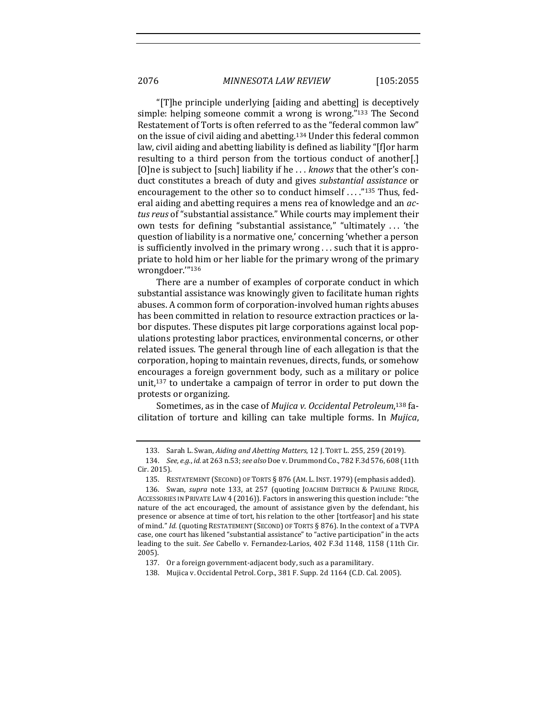" $T$ ]he principle underlying [aiding and abetting] is deceptively simple: helping someone commit a wrong is wrong."<sup>133</sup> The Second Restatement of Torts is often referred to as the "federal common law" on the issue of civil aiding and abetting.<sup>134</sup> Under this federal common law, civil aiding and abetting liability is defined as liability "[f]or harm resulting to a third person from the tortious conduct of another[.] [O]ne is subject to [such] liability if he ... *knows* that the other's conduct constitutes a breach of duty and gives *substantial assistance* or encouragement to the other so to conduct himself ...."<sup>135</sup> Thus, federal aiding and abetting requires a mens rea of knowledge and an *ac*tus reus of "substantial assistance." While courts may implement their own tests for defining "substantial assistance," "ultimately ... 'the question of liability is a normative one,' concerning 'whether a person is sufficiently involved in the primary wrong  $\ldots$  such that it is appropriate to hold him or her liable for the primary wrong of the primary wrongdoer.'"136

There are a number of examples of corporate conduct in which substantial assistance was knowingly given to facilitate human rights abuses. A common form of corporation-involved human rights abuses has been committed in relation to resource extraction practices or labor disputes. These disputes pit large corporations against local populations protesting labor practices, environmental concerns, or other related issues. The general through line of each allegation is that the corporation, hoping to maintain revenues, directs, funds, or somehow encourages a foreign government body, such as a military or police unit, $137$  to undertake a campaign of terror in order to put down the protests or organizing. 

Sometimes, as in the case of *Mujica v. Occidental Petroleum*,<sup>138</sup> facilitation of torture and killing can take multiple forms. In *Mujica*, 

<sup>133.</sup> Sarah L. Swan, *Aiding and Abetting Matters*, 12 J. TORT L. 255, 259 (2019).

<sup>134.</sup> *See, e.g., id.* at 263 n.53; *see also* Doe v. Drummond Co., 782 F.3d 576, 608 (11th Cir. 2015).

<sup>135.</sup> RESTATEMENT (SECOND) OF TORTS § 876 (AM. L. INST. 1979) (emphasis added).

<sup>136.</sup> Swan, *supra* note 133, at 257 (quoting JOACHIM DIETRICH & PAULINE RIDGE, ACCESSORIES IN PRIVATE LAW 4 (2016)). Factors in answering this question include: "the nature of the act encouraged, the amount of assistance given by the defendant, his presence or absence at time of tort, his relation to the other [tortfeasor] and his state of mind." *Id.* (quoting RESTATEMENT (SECOND) OF TORTS § 876). In the context of a TVPA case, one court has likened "substantial assistance" to "active participation" in the acts leading to the suit. See Cabello v. Fernandez-Larios, 402 F.3d 1148, 1158 (11th Cir. 2005).

<sup>137.</sup> Or a foreign government-adjacent body, such as a paramilitary.

<sup>138.</sup> Mujica v. Occidental Petrol. Corp., 381 F. Supp. 2d 1164 (C.D. Cal. 2005).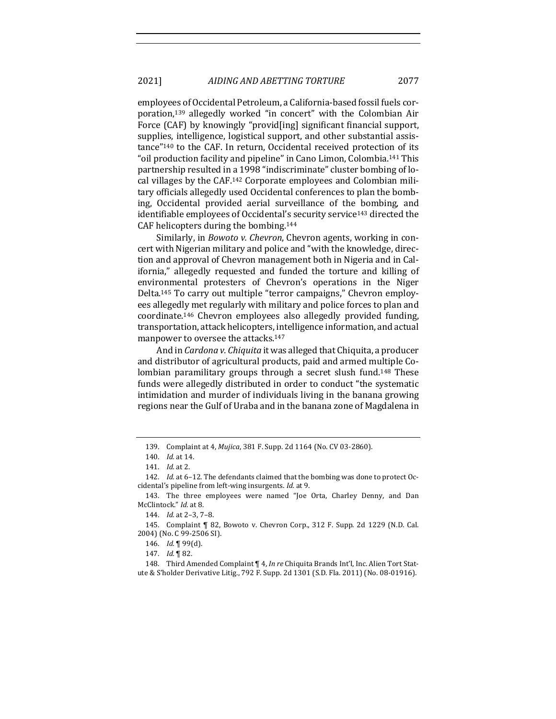employees of Occidental Petroleum, a California-based fossil fuels corporation,<sup>139</sup> allegedly worked "in concert" with the Colombian Air Force (CAF) by knowingly "provid[ing] significant financial support, supplies, intelligence, logistical support, and other substantial assistance"<sup>140</sup> to the CAF. In return, Occidental received protection of its "oil production facility and pipeline" in Cano Limon, Colombia.<sup>141</sup> This partnership resulted in a 1998 "indiscriminate" cluster bombing of local villages by the CAF.<sup>142</sup> Corporate employees and Colombian military officials allegedly used Occidental conferences to plan the bombing, Occidental provided aerial surveillance of the bombing, and identifiable employees of Occidental's security service<sup>143</sup> directed the CAF helicopters during the bombing. $144$ 

Similarly, in *Bowoto v. Chevron*, Chevron agents, working in concert with Nigerian military and police and "with the knowledge, direction and approval of Chevron management both in Nigeria and in California," allegedly requested and funded the torture and killing of environmental protesters of Chevron's operations in the Niger Delta.<sup>145</sup> To carry out multiple "terror campaigns," Chevron employees allegedly met regularly with military and police forces to plan and coordinate.<sup>146</sup> Chevron employees also allegedly provided funding, transportation, attack helicopters, intelligence information, and actual manpower to oversee the attacks.<sup>147</sup>

And in *Cardona v. Chiquita* it was alleged that Chiquita, a producer and distributor of agricultural products, paid and armed multiple Colombian paramilitary groups through a secret slush fund.<sup>148</sup> These funds were allegedly distributed in order to conduct "the systematic intimidation and murder of individuals living in the banana growing regions near the Gulf of Uraba and in the banana zone of Magdalena in

<sup>139.</sup> Complaint at 4, *Mujica*, 381 F. Supp. 2d 1164 (No. CV 03-2860).

<sup>140.</sup> *Id.* at 14.

<sup>141.</sup> *Id.* at 2.

<sup>142.</sup> *Id.* at 6-12. The defendants claimed that the bombing was done to protect Occidental's pipeline from left-wing insurgents. *Id.* at 9.

<sup>143.</sup> The three employees were named "Joe Orta, Charley Denny, and Dan McClintock." *Id.* at 8.

<sup>144.</sup> *Id.* at 2-3, 7-8.

<sup>145.</sup> Complaint | 82, Bowoto v. Chevron Corp., 312 F. Supp. 2d 1229 (N.D. Cal. 2004) (No. C 99-2506 SI).

<sup>146.</sup> *Id.* ¶ 99(d).

<sup>147.</sup> *Id.* 182.

<sup>148.</sup> Third Amended Complaint ¶ 4, *In re* Chiquita Brands Int'l, Inc. Alien Tort Statute & S'holder Derivative Litig., 792 F. Supp. 2d 1301 (S.D. Fla. 2011) (No. 08-01916).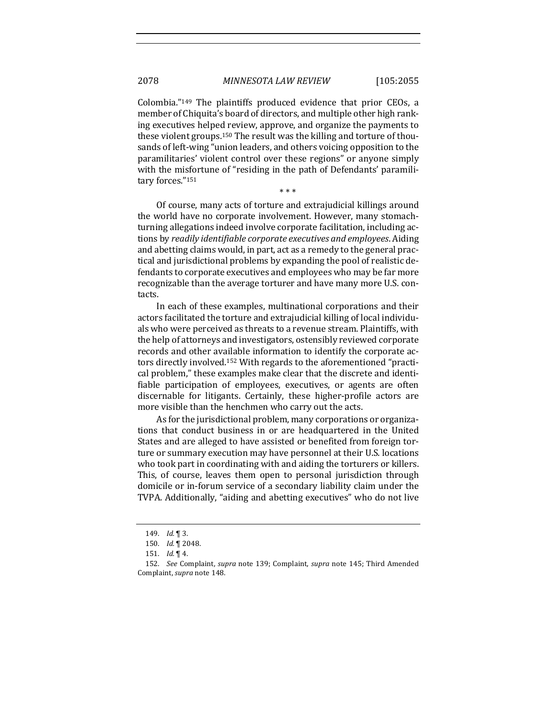Colombia."<sup>149</sup> The plaintiffs produced evidence that prior CEOs, a member of Chiquita's board of directors, and multiple other high ranking executives helped review, approve, and organize the payments to these violent groups.<sup>150</sup> The result was the killing and torture of thousands of left-wing "union leaders, and others voicing opposition to the paramilitaries' violent control over these regions" or anyone simply with the misfortune of "residing in the path of Defendants' paramilitary forces."151

\* \* \*

Of course, many acts of torture and extrajudicial killings around the world have no corporate involvement. However, many stomachturning allegations indeed involve corporate facilitation, including actions by *readily identifiable corporate executives and employees*. Aiding and abetting claims would, in part, act as a remedy to the general practical and jurisdictional problems by expanding the pool of realistic defendants to corporate executives and employees who may be far more recognizable than the average torturer and have many more U.S. contacts.

In each of these examples, multinational corporations and their actors facilitated the torture and extrajudicial killing of local individuals who were perceived as threats to a revenue stream. Plaintiffs, with the help of attorneys and investigators, ostensibly reviewed corporate records and other available information to identify the corporate actors directly involved.<sup>152</sup> With regards to the aforementioned "practical problem," these examples make clear that the discrete and identifiable participation of employees, executives, or agents are often discernable for litigants. Certainly, these higher-profile actors are more visible than the henchmen who carry out the acts.

As for the jurisdictional problem, many corporations or organizations that conduct business in or are headquartered in the United States and are alleged to have assisted or benefited from foreign torture or summary execution may have personnel at their U.S. locations who took part in coordinating with and aiding the torturers or killers. This, of course, leaves them open to personal jurisdiction through domicile or in-forum service of a secondary liability claim under the TVPA. Additionally, "aiding and abetting executives" who do not live

<sup>149.</sup> *Id.* 1 3.

<sup>150.</sup> *Id.* 1 2048.

<sup>151.</sup> *Id.* 14.

<sup>152.</sup> *See* Complaint, *supra* note 139; Complaint, *supra* note 145; Third Amended Complaint, *supra* note 148.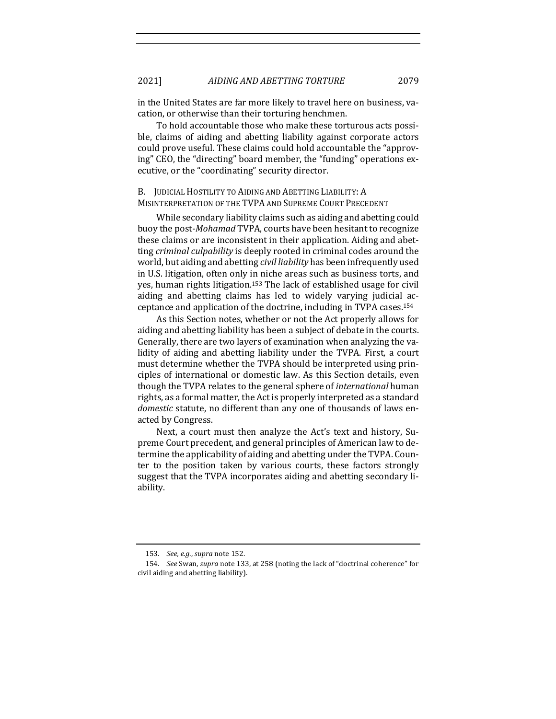in the United States are far more likely to travel here on business, vacation, or otherwise than their torturing henchmen.

To hold accountable those who make these torturous acts possible, claims of aiding and abetting liability against corporate actors could prove useful. These claims could hold accountable the "approving" CEO, the "directing" board member, the "funding" operations executive, or the "coordinating" security director.

## B. JUDICIAL HOSTILITY TO AIDING AND ABETTING LIABILITY: A MISINTERPRETATION OF THE TVPA AND SUPREME COURT PRECEDENT

While secondary liability claims such as aiding and abetting could buoy the post-*Mohamad* TVPA, courts have been hesitant to recognize these claims or are inconsistent in their application. Aiding and abetting *criminal culpability* is deeply rooted in criminal codes around the world, but aiding and abetting *civil liability* has been infrequently used in U.S. litigation, often only in niche areas such as business torts, and yes, human rights litigation.<sup>153</sup> The lack of established usage for civil aiding and abetting claims has led to widely varying judicial acceptance and application of the doctrine, including in TVPA cases.<sup>154</sup>

As this Section notes, whether or not the Act properly allows for aiding and abetting liability has been a subject of debate in the courts. Generally, there are two layers of examination when analyzing the validity of aiding and abetting liability under the TVPA. First, a court must determine whether the TVPA should be interpreted using principles of international or domestic law. As this Section details, even though the TVPA relates to the general sphere of *international* human rights, as a formal matter, the Act is properly interpreted as a standard *domestic* statute, no different than any one of thousands of laws enacted by Congress.

Next, a court must then analyze the Act's text and history, Supreme Court precedent, and general principles of American law to determine the applicability of aiding and abetting under the TVPA. Counter to the position taken by various courts, these factors strongly suggest that the TVPA incorporates aiding and abetting secondary liability.

<sup>153.</sup> *See, e.g., supra* note 152.

<sup>154.</sup> *See* Swan, *supra* note 133, at 258 (noting the lack of "doctrinal coherence" for civil aiding and abetting liability).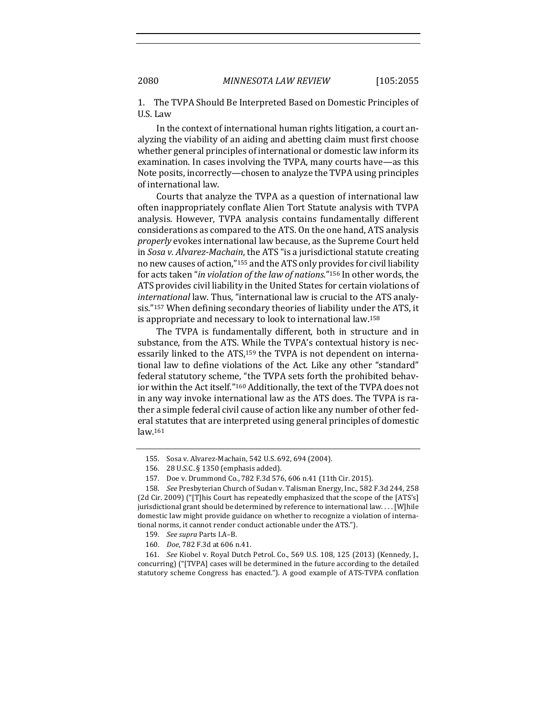1. The TVPA Should Be Interpreted Based on Domestic Principles of U.S. Law

In the context of international human rights litigation, a court analyzing the viability of an aiding and abetting claim must first choose whether general principles of international or domestic law inform its examination. In cases involving the TVPA, many courts have—as this Note posits, incorrectly—chosen to analyze the TVPA using principles of international law.

Courts that analyze the TVPA as a question of international law often inappropriately conflate Alien Tort Statute analysis with TVPA analysis. However, TVPA analysis contains fundamentally different considerations as compared to the ATS. On the one hand, ATS analysis *properly* evokes international law because, as the Supreme Court held in *Sosa v. Alvarez-Machain*, the ATS "is a jurisdictional statute creating no new causes of action,"<sup>155</sup> and the ATS only provides for civil liability for acts taken "*in violation of the law of nations*."<sup>156</sup> In other words, the ATS provides civil liability in the United States for certain violations of *international* law. Thus, "international law is crucial to the ATS analysis."<sup>157</sup> When defining secondary theories of liability under the ATS, it is appropriate and necessary to look to international law.<sup>158</sup>

The TVPA is fundamentally different, both in structure and in substance, from the ATS. While the TVPA's contextual history is necessarily linked to the ATS, $159$  the TVPA is not dependent on international law to define violations of the Act. Like any other "standard" federal statutory scheme, "the TVPA sets forth the prohibited behavior within the Act itself."<sup>160</sup> Additionally, the text of the TVPA does not in any way invoke international law as the ATS does. The TVPA is rather a simple federal civil cause of action like any number of other federal statutes that are interpreted using general principles of domestic law.161

160. *Doe*, 782 F.3d at 606 n.41.

161. *See* Kiobel v. Royal Dutch Petrol. Co., 569 U.S. 108, 125 (2013) (Kennedy, J., concurring) ("[TVPA] cases will be determined in the future according to the detailed statutory scheme Congress has enacted."). A good example of ATS-TVPA conflation

<sup>155.</sup> Sosa v. Alvarez-Machain, 542 U.S. 692, 694 (2004).

<sup>156. 28</sup> U.S.C. § 1350 (emphasis added).

<sup>157.</sup> Doe v. Drummond Co., 782 F.3d 576, 606 n.41 (11th Cir. 2015).

<sup>158.</sup> *See* Presbyterian Church of Sudan v. Talisman Energy, Inc., 582 F.3d 244, 258 (2d Cir. 2009) ("[T]his Court has repeatedly emphasized that the scope of the [ATS's] jurisdictional grant should be determined by reference to international law.... [W]hile domestic law might provide guidance on whether to recognize a violation of international norms, it cannot render conduct actionable under the ATS.").

<sup>159.</sup> *See supra* Parts I.A–B.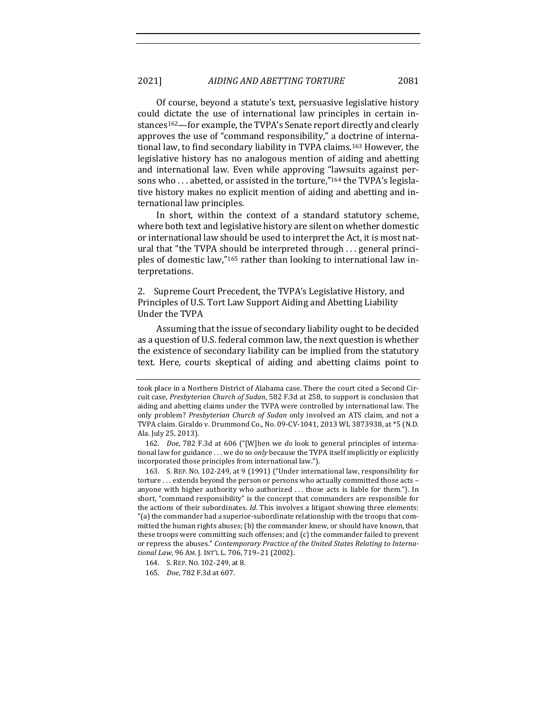Of course, beyond a statute's text, persuasive legislative history could dictate the use of international law principles in certain instances<sup>162</sup>—for example, the TVPA's Senate report directly and clearly approves the use of "command responsibility," a doctrine of international law, to find secondary liability in TVPA claims.<sup>163</sup> However, the legislative history has no analogous mention of aiding and abetting and international law. Even while approving "lawsuits against persons who  $\dots$  abetted, or assisted in the torture,"<sup>164</sup> the TVPA's legislative history makes no explicit mention of aiding and abetting and international law principles.

In short, within the context of a standard statutory scheme, where both text and legislative history are silent on whether domestic or international law should be used to interpret the Act, it is most natural that "the TVPA should be interpreted through ... general principles of domestic law,"<sup>165</sup> rather than looking to international law interpretations. 

2. Supreme Court Precedent, the TVPA's Legislative History, and Principles of U.S. Tort Law Support Aiding and Abetting Liability Under the TVPA

Assuming that the issue of secondary liability ought to be decided as a question of U.S. federal common law, the next question is whether the existence of secondary liability can be implied from the statutory text. Here, courts skeptical of aiding and abetting claims point to

took place in a Northern District of Alabama case. There the court cited a Second Circuit case, Presbyterian Church of Sudan, 582 F.3d at 258, to support is conclusion that aiding and abetting claims under the TVPA were controlled by international law. The only problem? Presbyterian Church of Sudan only involved an ATS claim, and not a TVPA claim. Giraldo v. Drummond Co., No. 09-CV-1041, 2013 WL 3873938, at \*5 (N.D. Ala. July 25, 2013).

<sup>162.</sup> *Doe*, 782 F.3d at 606 ("[W]hen we *do* look to general principles of international law for guidance ... we do so *only* because the TVPA itself implicitly or explicitly incorporated those principles from international law.").

<sup>163.</sup> S. REP. No. 102-249, at 9 (1991) ("Under international law, responsibility for torture ... extends beyond the person or persons who actually committed those acts anyone with higher authority who authorized ... those acts is liable for them."). In short, "command responsibility" is the concept that commanders are responsible for the actions of their subordinates. *Id.* This involves a litigant showing three elements: "(a) the commander had a superior-subordinate relationship with the troops that committed the human rights abuses; (b) the commander knew, or should have known, that these troops were committing such offenses; and  $(c)$  the commander failed to prevent or repress the abuses." *Contemporary Practice of the United States Relating to International Law*, 96 AM. J. INT'L L. 706, 719–21 (2002).

<sup>164.</sup> S. REP. No. 102-249, at 8.

<sup>165.</sup> *Doe*, 782 F.3d at 607.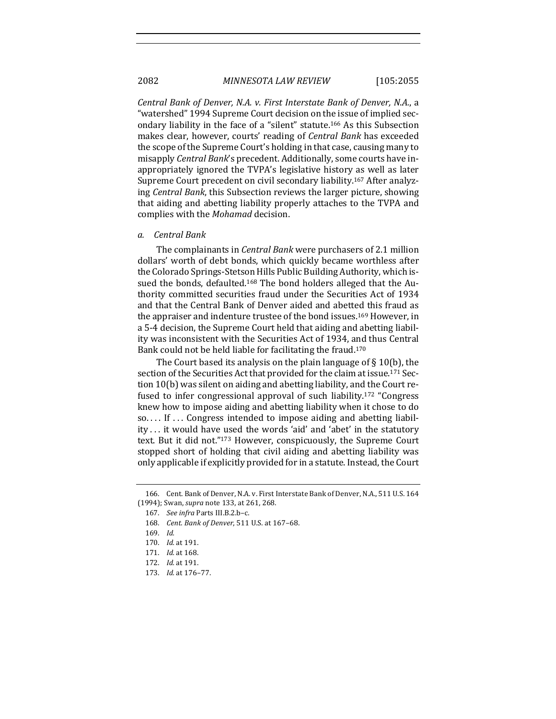*Central Bank of Denver, N.A. v. First Interstate Bank of Denver, N.A.*, a "watershed" 1994 Supreme Court decision on the issue of implied secondary liability in the face of a "silent" statute.<sup>166</sup> As this Subsection makes clear, however, courts' reading of *Central Bank* has exceeded the scope of the Supreme Court's holding in that case, causing many to misapply *Central Bank's* precedent. Additionally, some courts have inappropriately ignored the TVPA's legislative history as well as later Supreme Court precedent on civil secondary liability.<sup>167</sup> After analyzing *Central Bank*, this Subsection reviews the larger picture, showing that aiding and abetting liability properly attaches to the TVPA and complies with the *Mohamad* decision.

### *a. Central Bank*

The complainants in *Central Bank* were purchasers of 2.1 million dollars' worth of debt bonds, which quickly became worthless after the Colorado Springs-Stetson Hills Public Building Authority, which issued the bonds, defaulted.<sup>168</sup> The bond holders alleged that the Authority committed securities fraud under the Securities Act of 1934 and that the Central Bank of Denver aided and abetted this fraud as the appraiser and indenture trustee of the bond issues.<sup>169</sup> However, in a 5-4 decision, the Supreme Court held that aiding and abetting liability was inconsistent with the Securities Act of 1934, and thus Central Bank could not be held liable for facilitating the fraud.<sup>170</sup>

The Court based its analysis on the plain language of  $\S$  10(b), the section of the Securities Act that provided for the claim at issue.<sup>171</sup> Section 10(b) was silent on aiding and abetting liability, and the Court refused to infer congressional approval of such liability.<sup>172</sup> "Congress" knew how to impose aiding and abetting liability when it chose to do so.... If ... Congress intended to impose aiding and abetting liability ... it would have used the words 'aid' and 'abet' in the statutory text. But it did not."<sup>173</sup> However, conspicuously, the Supreme Court stopped short of holding that civil aiding and abetting liability was only applicable if explicitly provided for in a statute. Instead, the Court

<sup>166.</sup> Cent. Bank of Denver, N.A. v. First Interstate Bank of Denver, N.A., 511 U.S. 164 (1994); Swan, *supra* note 133, at 261, 268.

<sup>167.</sup> *See infra* Parts III.B.2.b–c.

<sup>168.</sup> *Cent. Bank of Denver*, 511 U.S. at 167–68. 

<sup>169.</sup> *Id.*

<sup>170.</sup> *Id.* at 191.

<sup>171.</sup> *Id.* at 168.

<sup>172.</sup> *Id.* at 191.

<sup>173.</sup> *Id.* at 176-77.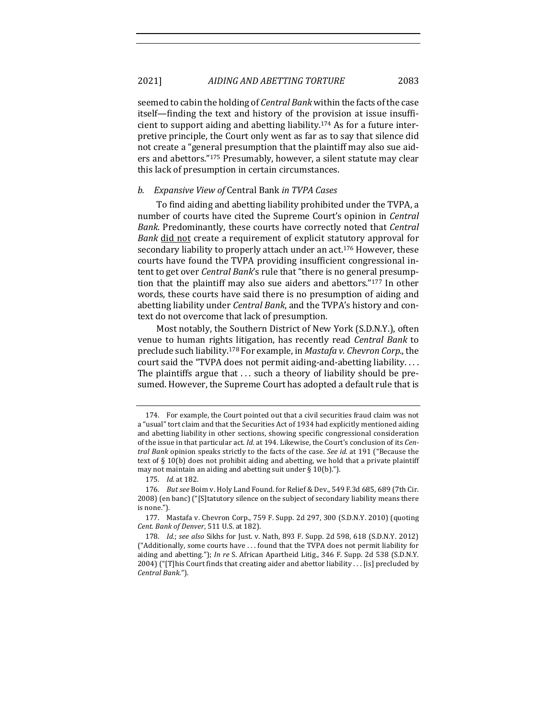seemed to cabin the holding of *Central Bank* within the facts of the case itself—finding the text and history of the provision at issue insufficient to support aiding and abetting liability.<sup>174</sup> As for a future interpretive principle, the Court only went as far as to say that silence did not create a "general presumption that the plaintiff may also sue aiders and abettors."<sup>175</sup> Presumably, however, a silent statute may clear this lack of presumption in certain circumstances.

## *b. Expansive View of* Central Bank *in TVPA Cases*

To find aiding and abetting liability prohibited under the TVPA, a number of courts have cited the Supreme Court's opinion in *Central Bank*. Predominantly, these courts have correctly noted that *Central Bank* did not create a requirement of explicit statutory approval for secondary liability to properly attach under an act.<sup>176</sup> However, these courts have found the TVPA providing insufficient congressional intent to get over *Central Bank*'s rule that "there is no general presumption that the plaintiff may also sue aiders and abettors."<sup>177</sup> In other words, these courts have said there is no presumption of aiding and abetting liability under *Central Bank*, and the TVPA's history and context do not overcome that lack of presumption.

Most notably, the Southern District of New York (S.D.N.Y.), often venue to human rights litigation, has recently read *Central Bank* to preclude such liability.<sup>178</sup> For example, in *Mastafa v. Chevron Corp.*, the court said the "TVPA does not permit aiding-and-abetting liability.... The plaintiffs argue that  $\dots$  such a theory of liability should be presumed. However, the Supreme Court has adopted a default rule that is

<sup>174.</sup> For example, the Court pointed out that a civil securities fraud claim was not a "usual" tort claim and that the Securities Act of 1934 had explicitly mentioned aiding and abetting liability in other sections, showing specific congressional consideration of the issue in that particular act. *Id.* at 194. Likewise, the Court's conclusion of its *Central Bank* opinion speaks strictly to the facts of the case. *See id.* at 191 ("Because the text of  $\S$  10(b) does not prohibit aiding and abetting, we hold that a private plaintiff may not maintain an aiding and abetting suit under  $\S 10(b)$ .").

<sup>175.</sup> *Id.* at 182.

<sup>176.</sup> *But see* Boim v. Holy Land Found. for Relief & Dev., 549 F.3d 685, 689 (7th Cir. 2008) (en banc) ("[S]tatutory silence on the subject of secondary liability means there is none.").

<sup>177.</sup> Mastafa v. Chevron Corp., 759 F. Supp. 2d 297, 300 (S.D.N.Y. 2010) (quoting *Cent. Bank of Denver*, 511 U.S. at 182).

<sup>178.</sup> *Id.*; see also Sikhs for Just. v. Nath, 893 F. Supp. 2d 598, 618 (S.D.N.Y. 2012)  $("Additionally, some courts have ... found that the TVPA does not permit liability for$ aiding and abetting."); *In re* S. African Apartheid Litig., 346 F. Supp. 2d 538 (S.D.N.Y. 2004) ("[T]his Court finds that creating aider and abettor liability . . . [is] precluded by *Central Bank*.").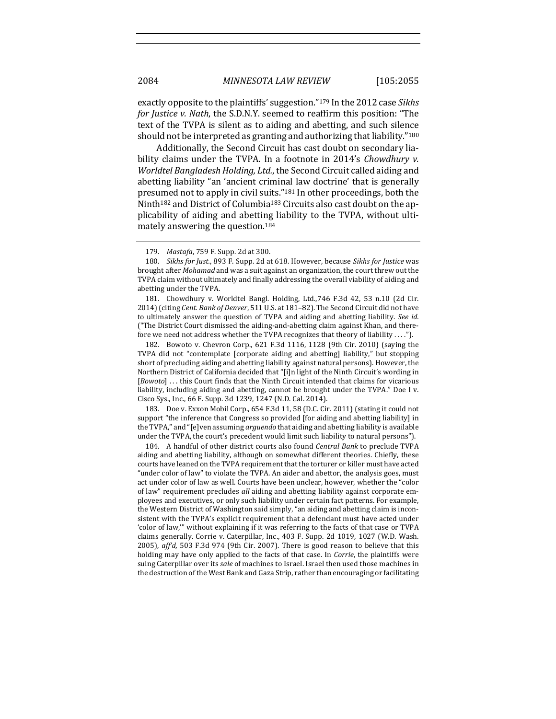exactly opposite to the plaintiffs' suggestion."<sup>179</sup> In the 2012 case *Sikhs for Justice v. Nath*, the S.D.N.Y. seemed to reaffirm this position: "The text of the TVPA is silent as to aiding and abetting, and such silence should not be interpreted as granting and authorizing that liability."<sup>180</sup>

Additionally, the Second Circuit has cast doubt on secondary liability claims under the TVPA. In a footnote in 2014's *Chowdhury v. Worldtel Bangladesh Holding, Ltd., the Second Circuit called aiding and* abetting liability "an 'ancient criminal law doctrine' that is generally presumed not to apply in civil suits."<sup>181</sup> In other proceedings, both the Ninth<sup>182</sup> and District of Columbia<sup>183</sup> Circuits also cast doubt on the applicability of aiding and abetting liability to the TVPA, without ultimately answering the question.<sup>184</sup>

181. Chowdhury v. Worldtel Bangl. Holding, Ltd.,746 F.3d 42, 53 n.10 (2d Cir. 2014) (citing *Cent. Bank of Denver*, 511 U.S. at 181-82). The Second Circuit did not have to ultimately answer the question of TVPA and aiding and abetting liability. See *id.* ("The District Court dismissed the aiding-and-abetting claim against Khan, and therefore we need not address whether the TVPA recognizes that theory of liability . . . .").

182. Bowoto v. Chevron Corp., 621 F.3d 1116, 1128 (9th Cir. 2010) (saying the TVPA did not "contemplate [corporate aiding and abetting] liability," but stopping short of precluding aiding and abetting liability against natural persons). However, the Northern District of California decided that "[i]n light of the Ninth Circuit's wording in [*Bowoto*] . . . this Court finds that the Ninth Circuit intended that claims for vicarious liability, including aiding and abetting, cannot be brought under the TVPA." Doe I v. Cisco Sys., Inc., 66 F. Supp. 3d 1239, 1247 (N.D. Cal. 2014).

183. Doe v. Exxon Mobil Corp., 654 F.3d 11, 58 (D.C. Cir. 2011) (stating it could not support "the inference that Congress so provided [for aiding and abetting liability] in the TVPA," and "[e]ven assuming *arguendo* that aiding and abetting liability is available under the TVPA, the court's precedent would limit such liability to natural persons").

184. A handful of other district courts also found *Central Bank* to preclude TVPA aiding and abetting liability, although on somewhat different theories. Chiefly, these courts have leaned on the TVPA requirement that the torturer or killer must have acted "under color of law" to violate the TVPA. An aider and abettor, the analysis goes, must act under color of law as well. Courts have been unclear, however, whether the "color of law" requirement precludes *all* aiding and abetting liability against corporate employees and executives, or only such liability under certain fact patterns. For example, the Western District of Washington said simply, "an aiding and abetting claim is inconsistent with the TVPA's explicit requirement that a defendant must have acted under 'color of law,"' without explaining if it was referring to the facts of that case or TVPA claims generally. Corrie v. Caterpillar, Inc., 403 F. Supp. 2d 1019, 1027 (W.D. Wash. 2005),  $affd$ , 503 F.3d 974 (9th Cir. 2007). There is good reason to believe that this holding may have only applied to the facts of that case. In *Corrie*, the plaintiffs were suing Caterpillar over its *sale* of machines to Israel. Israel then used those machines in the destruction of the West Bank and Gaza Strip, rather than encouraging or facilitating

<sup>179.</sup> *Mastafa*, 759 F. Supp. 2d at 300.

<sup>180.</sup> *Sikhs for Just.*, 893 F. Supp. 2d at 618. However, because *Sikhs for Justice* was brought after *Mohamad* and was a suit against an organization, the court threw out the TVPA claim without ultimately and finally addressing the overall viability of aiding and abetting under the TVPA.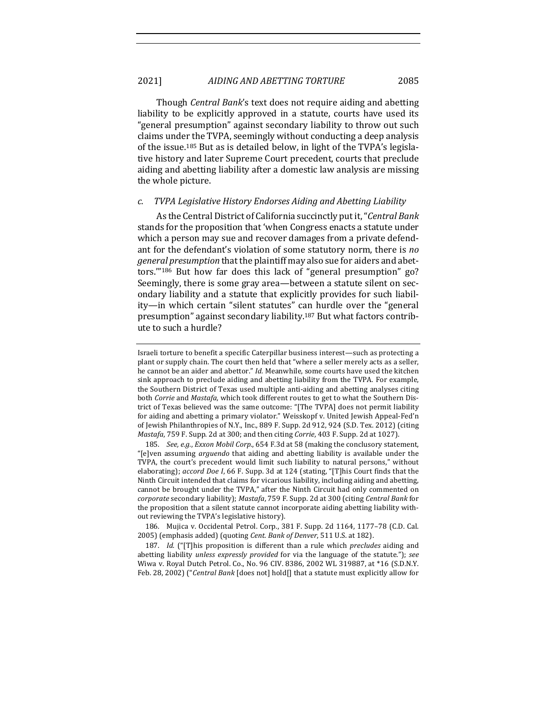Though *Central Bank*'s text does not require aiding and abetting liability to be explicitly approved in a statute, courts have used its "general presumption" against secondary liability to throw out such claims under the TVPA, seemingly without conducting a deep analysis of the issue.<sup>185</sup> But as is detailed below, in light of the TVPA's legislative history and later Supreme Court precedent, courts that preclude aiding and abetting liability after a domestic law analysis are missing the whole picture.

#### *c. TVPA Legislative History Endorses Aiding and Abetting Liability*

As the Central District of California succinctly put it, "*Central Bank* stands for the proposition that 'when Congress enacts a statute under which a person may sue and recover damages from a private defendant for the defendant's violation of some statutory norm, there is *no general presumption* that the plaintiff may also sue for aiders and abettors."<sup>186</sup> But how far does this lack of "general presumption" go? Seemingly, there is some gray area—between a statute silent on secondary liability and a statute that explicitly provides for such liability—in which certain "silent statutes" can hurdle over the "general presumption" against secondary liability.<sup>187</sup> But what factors contribute to such a hurdle?

185. *See, e.g., Exxon Mobil Corp.*, 654 F.3d at 58 (making the conclusory statement, "[e]ven assuming arguendo that aiding and abetting liability is available under the TVPA, the court's precedent would limit such liability to natural persons," without elaborating); *accord Doe I*, 66 F. Supp. 3d at 124 (stating, "[T]his Court finds that the Ninth Circuit intended that claims for vicarious liability, including aiding and abetting, cannot be brought under the TVPA," after the Ninth Circuit had only commented on *corporate* secondary liability); *Mastafa*, 759 F. Supp. 2d at 300 (citing *Central Bank* for the proposition that a silent statute cannot incorporate aiding abetting liability without reviewing the TVPA's legislative history).

186. Mujica v. Occidental Petrol. Corp., 381 F. Supp. 2d 1164, 1177-78 (C.D. Cal. 2005) (emphasis added) (quoting *Cent. Bank of Denver*, 511 U.S. at 182).

187. *Id.* ("[T]his proposition is different than a rule which *precludes* aiding and abetting liability *unless expressly provided* for via the language of the statute."); see Wiwa v. Royal Dutch Petrol. Co., No. 96 CIV. 8386, 2002 WL 319887, at \*16 (S.D.N.Y. Feb. 28, 2002) ("*Central Bank* [does not] hold[] that a statute must explicitly allow for

Israeli torture to benefit a specific Caterpillar business interest—such as protecting a plant or supply chain. The court then held that "where a seller merely acts as a seller, he cannot be an aider and abettor." *Id.* Meanwhile, some courts have used the kitchen sink approach to preclude aiding and abetting liability from the TVPA. For example, the Southern District of Texas used multiple anti-aiding and abetting analyses citing both *Corrie* and *Mastafa*, which took different routes to get to what the Southern District of Texas believed was the same outcome: "[The TVPA] does not permit liability for aiding and abetting a primary violator." Weisskopf v. United Jewish Appeal-Fed'n of Jewish Philanthropies of N.Y., Inc., 889 F. Supp. 2d 912, 924 (S.D. Tex. 2012) (citing *Mastafa*, 759 F. Supp. 2d at 300; and then citing *Corrie*, 403 F. Supp. 2d at 1027).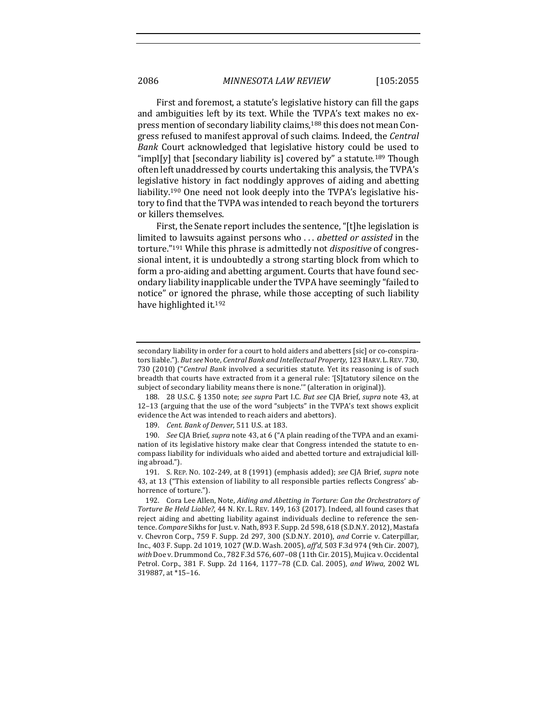First and foremost, a statute's legislative history can fill the gaps and ambiguities left by its text. While the TVPA's text makes no express mention of secondary liability claims,<sup>188</sup> this does not mean Congress refused to manifest approval of such claims. Indeed, the *Central Bank* Court acknowledged that legislative history could be used to "impl[y] that [secondary liability is] covered by" a statute.<sup>189</sup> Though often left unaddressed by courts undertaking this analysis, the TVPA's legislative history in fact noddingly approves of aiding and abetting liability.<sup>190</sup> One need not look deeply into the TVPA's legislative history to find that the TVPA was intended to reach beyond the torturers or killers themselves.

First, the Senate report includes the sentence, "[t]he legislation is limited to lawsuits against persons who ... *abetted or assisted* in the torture."<sup>191</sup> While this phrase is admittedly not *dispositive* of congressional intent, it is undoubtedly a strong starting block from which to form a pro-aiding and abetting argument. Courts that have found secondary liability inapplicable under the TVPA have seemingly "failed to notice" or ignored the phrase, while those accepting of such liability have highlighted it.<sup>192</sup>

secondary liability in order for a court to hold aiders and abetters [sic] or co-conspirators liable."). *But see* Note, *Central Bank and Intellectual Property*, 123 HARV. L. REV. 730, 730 (2010) ("*Central Bank* involved a securities statute. Yet its reasoning is of such breadth that courts have extracted from it a general rule: '[S]tatutory silence on the subject of secondary liability means there is none."" (alteration in original)).

<sup>188. 28</sup> U.S.C. § 1350 note; *see supra* Part I.C. *But see* CJA Brief, *supra* note 43, at 12-13 (arguing that the use of the word "subjects" in the TVPA's text shows explicit evidence the Act was intended to reach aiders and abettors).

<sup>189.</sup> *Cent. Bank of Denver*, 511 U.S. at 183.

<sup>190.</sup> *See* CJA Brief, *supra* note 43, at 6 ("A plain reading of the TVPA and an examination of its legislative history make clear that Congress intended the statute to encompass liability for individuals who aided and abetted torture and extrajudicial killing abroad.").

<sup>191.</sup> S. REP. NO. 102-249, at 8 (1991) (emphasis added); *see* CJA Brief, *supra* note 43, at 13 ("This extension of liability to all responsible parties reflects Congress' abhorrence of torture.").

<sup>192.</sup> Cora Lee Allen, Note, *Aiding and Abetting in Torture: Can the Orchestrators of* Torture Be Held Liable?, 44 N. Ky. L. REV. 149, 163 (2017). Indeed, all found cases that reject aiding and abetting liability against individuals decline to reference the sentence. *Compare* Sikhs for Just. v. Nath, 893 F. Supp. 2d 598, 618 (S.D.N.Y. 2012), Mastafa v. Chevron Corp., 759 F. Supp. 2d 297, 300 (S.D.N.Y. 2010), *and* Corrie v. Caterpillar, Inc., 403 F. Supp. 2d 1019, 1027 (W.D. Wash. 2005), *aff'd*, 503 F.3d 974 (9th Cir. 2007), with Doe v. Drummond Co., 782 F.3d 576, 607-08 (11th Cir. 2015), Mujica v. Occidental Petrol. Corp., 381 F. Supp. 2d 1164, 1177-78 (C.D. Cal. 2005), and Wiwa, 2002 WL 319887, at \*15-16.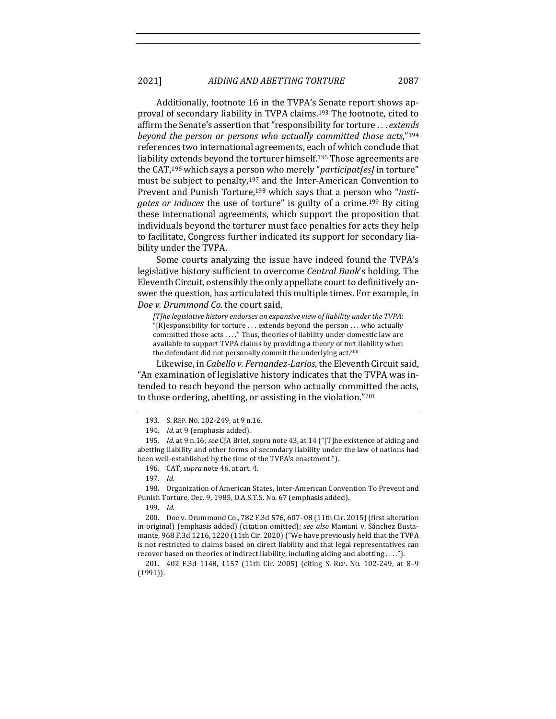Additionally, footnote 16 in the TVPA's Senate report shows approval of secondary liability in TVPA claims.<sup>193</sup> The footnote, cited to affirm the Senate's assertion that "responsibility for torture . . . *extends beyond the person or persons who actually committed those acts*,"<sup>194</sup> references two international agreements, each of which conclude that liability extends beyond the torturer himself.<sup>195</sup> Those agreements are the CAT,<sup>196</sup> which says a person who merely "*participat[es]* in torture" must be subject to penalty,<sup>197</sup> and the Inter-American Convention to Prevent and Punish Torture,<sup>198</sup> which says that a person who "*instigates* or *induces* the use of torture" is guilty of a crime.<sup>199</sup> By citing these international agreements, which support the proposition that individuals beyond the torturer must face penalties for acts they help to facilitate, Congress further indicated its support for secondary liability under the TVPA.

Some courts analyzing the issue have indeed found the TVPA's legislative history sufficient to overcome *Central Bank's* holding. The Eleventh Circuit, ostensibly the only appellate court to definitively answer the question, has articulated this multiple times. For example, in *Doe v. Drummond Co.* the court said,

[T]he *legislative history endorses an expansive view of liability under the TVPA*: "[R]esponsibility for torture ... extends beyond the person ... who actually committed those acts ...." Thus, theories of liability under domestic law are available to support TVPA claims by providing a theory of tort liability when the defendant did not personally commit the underlying act.<sup>200</sup>

Likewise, in *Cabello v. Fernandez-Larios*, the Eleventh Circuit said, "An examination of legislative history indicates that the TVPA was intended to reach beyond the person who actually committed the acts, to those ordering, abetting, or assisting in the violation."<sup>201</sup>

198. Organization of American States, Inter-American Convention To Prevent and Punish Torture, Dec. 9, 1985, O.A.S.T.S. No. 67 (emphasis added).

199. *Id.*

201. 402 F.3d 1148, 1157 (11th Cir. 2005) (citing S. REP. No. 102-249, at 8-9 (1991)). 

<sup>193.</sup> S. REP. No. 102-249, at 9 n.16.

<sup>194.</sup> *Id.* at 9 (emphasis added).

<sup>195.</sup> *Id.* at 9 n.16; see CJA Brief, *supra* note 43, at 14 ("[T]he existence of aiding and abetting liability and other forms of secondary liability under the law of nations had been well-established by the time of the TVPA's enactment.").

<sup>196.</sup> CAT, *supra* note 46, at art. 4.

<sup>197.</sup> *Id.*

<sup>200.</sup> Doe v. Drummond Co., 782 F.3d 576, 607-08 (11th Cir. 2015) (first alteration in original) (emphasis added) (citation omitted); see also Mamani v. Sánchez Bustamante, 968 F.3d 1216, 1220 (11th Cir. 2020) ("We have previously held that the TVPA is not restricted to claims based on direct liability and that legal representatives can recover based on theories of indirect liability, including aiding and abetting ....").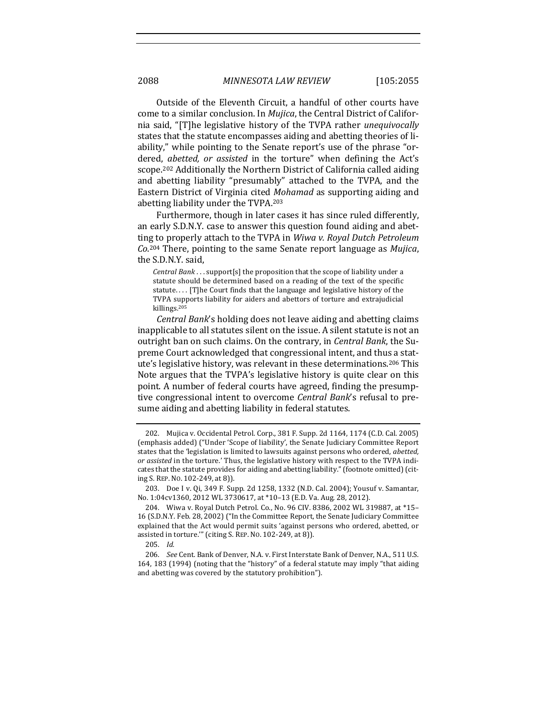Outside of the Eleventh Circuit, a handful of other courts have come to a similar conclusion. In *Mujica*, the Central District of California said, "[T]he legislative history of the TVPA rather *unequivocally* states that the statute encompasses aiding and abetting theories of liability," while pointing to the Senate report's use of the phrase "ordered, *abetted, or assisted* in the torture" when defining the Act's scope.<sup>202</sup> Additionally the Northern District of California called aiding and abetting liability "presumably" attached to the TVPA, and the Eastern District of Virginia cited *Mohamad* as supporting aiding and abetting liability under the TVPA.<sup>203</sup>

Furthermore, though in later cases it has since ruled differently, an early S.D.N.Y. case to answer this question found aiding and abetting to properly attach to the TVPA in *Wiwa v. Royal Dutch Petroleum* Co.<sup>204</sup> There, pointing to the same Senate report language as *Mujica*, the S.D.N.Y. said,

*Central Bank* . . . support[s] the proposition that the scope of liability under a statute should be determined based on a reading of the text of the specific statute.... [T]he Court finds that the language and legislative history of the TVPA supports liability for aiders and abettors of torture and extrajudicial killings.205

*Central Bank*'s holding does not leave aiding and abetting claims inapplicable to all statutes silent on the issue. A silent statute is not an outright ban on such claims. On the contrary, in *Central Bank*, the Supreme Court acknowledged that congressional intent, and thus a statute's legislative history, was relevant in these determinations.<sup>206</sup> This Note argues that the TVPA's legislative history is quite clear on this point. A number of federal courts have agreed, finding the presumptive congressional intent to overcome *Central Bank's* refusal to presume aiding and abetting liability in federal statutes.

<sup>202.</sup> Mujica v. Occidental Petrol. Corp., 381 F. Supp. 2d 1164, 1174 (C.D. Cal. 2005) (emphasis added) ("Under 'Scope of liability', the Senate Judiciary Committee Report states that the 'legislation is limited to lawsuits against persons who ordered, abetted, *or assisted* in the torture.' Thus, the legislative history with respect to the TVPA indicates that the statute provides for aiding and abetting liability." (footnote omitted) (citing S. REP. No. 102-249, at 8)).

<sup>203.</sup> Doe I v. Qi, 349 F. Supp. 2d 1258, 1332 (N.D. Cal. 2004); Yousuf v. Samantar, No. 1:04cv1360, 2012 WL 3730617, at \*10-13 (E.D. Va. Aug. 28, 2012).

<sup>204.</sup> Wiwa v. Royal Dutch Petrol. Co., No. 96 CIV. 8386, 2002 WL 319887, at \*15-16 (S.D.N.Y. Feb. 28, 2002) ("In the Committee Report, the Senate Judiciary Committee explained that the Act would permit suits 'against persons who ordered, abetted, or assisted in torture."" (citing S. REP. No. 102-249, at 8)).

<sup>205.</sup> *Id.*

<sup>206.</sup> *See* Cent. Bank of Denver, N.A. v. First Interstate Bank of Denver, N.A., 511 U.S. 164, 183 (1994) (noting that the "history" of a federal statute may imply "that aiding and abetting was covered by the statutory prohibition").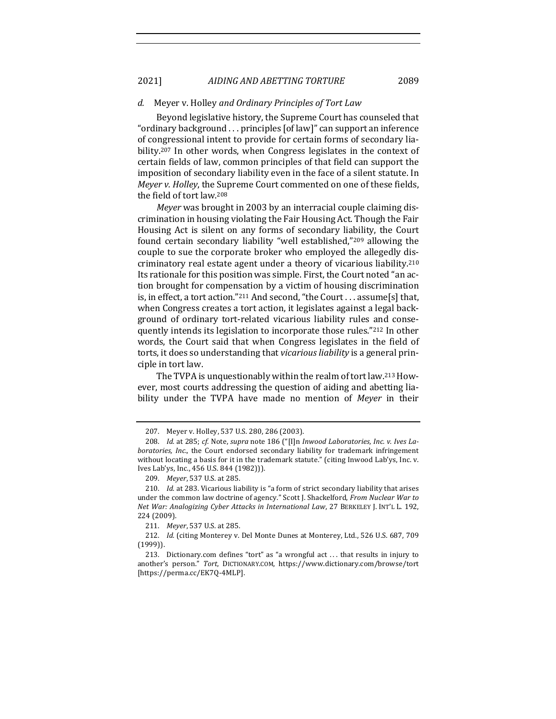2021] *AIDING AND ABETTING TORTURE* 2089

#### *d.* Meyer v. Holley *and Ordinary Principles of Tort Law*

Beyond legislative history, the Supreme Court has counseled that "ordinary background . . . principles [of law]" can support an inference of congressional intent to provide for certain forms of secondary liability.<sup>207</sup> In other words, when Congress legislates in the context of certain fields of law, common principles of that field can support the imposition of secondary liability even in the face of a silent statute. In *Meyer v. Holley*, the Supreme Court commented on one of these fields, the field of tort law.<sup>208</sup>

*Meyer* was brought in 2003 by an interracial couple claiming discrimination in housing violating the Fair Housing Act. Though the Fair Housing Act is silent on any forms of secondary liability, the Court found certain secondary liability "well established,"<sup>209</sup> allowing the couple to sue the corporate broker who employed the allegedly discriminatory real estate agent under a theory of vicarious liability.<sup>210</sup> Its rationale for this position was simple. First, the Court noted "an action brought for compensation by a victim of housing discrimination is, in effect, a tort action."<sup>211</sup> And second, "the Court . . . assume[s] that, when Congress creates a tort action, it legislates against a legal background of ordinary tort-related vicarious liability rules and consequently intends its legislation to incorporate those rules."<sup>212</sup> In other words, the Court said that when Congress legislates in the field of torts, it does so understanding that *vicarious liability* is a general principle in tort law.

The TVPA is unquestionably within the realm of tort law.<sup>213</sup> However, most courts addressing the question of aiding and abetting liability under the TVPA have made no mention of Meyer in their

<sup>207.</sup> Meyer v. Holley, 537 U.S. 280, 286 (2003).

<sup>208.</sup> *Id.* at 285; *cf.* Note, *supra* note 186 ("[I]n *Inwood Laboratories, Inc. v. Ives Laboratories, Inc.*, the Court endorsed secondary liability for trademark infringement without locating a basis for it in the trademark statute." (citing Inwood Lab'ys, Inc. v. Ives Lab'ys, Inc., 456 U.S. 844 (1982))).

<sup>209.</sup> Meyer, 537 U.S. at 285.

<sup>210.</sup> *Id.* at 283. Vicarious liability is "a form of strict secondary liability that arises under the common law doctrine of agency." Scott J. Shackelford, *From Nuclear War to Net War: Analogizing Cyber Attacks in International Law, 27 BERKELEY J. INT'L L. 192,* 224 (2009).

<sup>211.</sup> *Meyer*, 537 U.S. at 285.

<sup>212.</sup> *Id.* (citing Monterey v. Del Monte Dunes at Monterey, Ltd., 526 U.S. 687, 709 (1999)). 

<sup>213.</sup> Dictionary.com defines "tort" as "a wrongful act ... that results in injury to another's person." *Tort*, DICTIONARY.COM, https://www.dictionary.com/browse/tort [https://perma.cc/EK7Q-4MLP].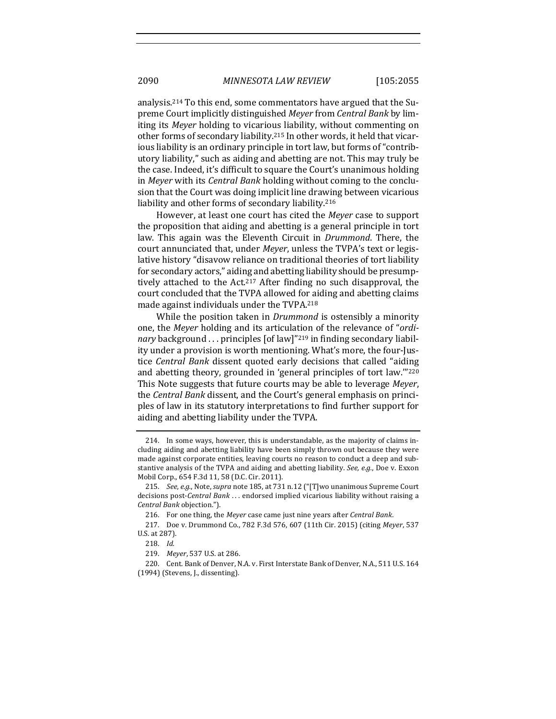analysis.<sup>214</sup> To this end, some commentators have argued that the Supreme Court implicitly distinguished *Meyer* from *Central Bank* by limiting its *Meyer* holding to vicarious liability, without commenting on other forms of secondary liability.<sup>215</sup> In other words, it held that vicarious liability is an ordinary principle in tort law, but forms of "contributory liability," such as aiding and abetting are not. This may truly be the case. Indeed, it's difficult to square the Court's unanimous holding in *Meyer* with its *Central Bank* holding without coming to the conclusion that the Court was doing implicit line drawing between vicarious liability and other forms of secondary liability.<sup>216</sup>

However, at least one court has cited the *Meyer* case to support the proposition that aiding and abetting is a general principle in tort law. This again was the Eleventh Circuit in *Drummond*. There, the court annunciated that, under *Meyer*, unless the TVPA's text or legislative history "disavow reliance on traditional theories of tort liability for secondary actors," aiding and abetting liability should be presumptively attached to the  $Act^{217}$  After finding no such disapproval, the court concluded that the TVPA allowed for aiding and abetting claims made against individuals under the TVPA.<sup>218</sup>

While the position taken in *Drummond* is ostensibly a minority one, the *Meyer* holding and its articulation of the relevance of "*ordinary* background ... principles [of law]"<sup>219</sup> in finding secondary liability under a provision is worth mentioning. What's more, the four-Justice *Central Bank* dissent quoted early decisions that called "aiding" and abetting theory, grounded in 'general principles of tort law.'"<sup>220</sup> This Note suggests that future courts may be able to leverage Meyer, the *Central Bank* dissent, and the Court's general emphasis on principles of law in its statutory interpretations to find further support for aiding and abetting liability under the TVPA.

<sup>214.</sup> In some ways, however, this is understandable, as the majority of claims including aiding and abetting liability have been simply thrown out because they were made against corporate entities, leaving courts no reason to conduct a deep and substantive analysis of the TVPA and aiding and abetting liability. See, e.g., Doe v. Exxon Mobil Corp., 654 F.3d 11, 58 (D.C. Cir. 2011).

<sup>215.</sup> *See, e.g.*, Note, *supra* note 185, at 731 n.12 ("[T]wo unanimous Supreme Court decisions post-*Central Bank* . . . endorsed implied vicarious liability without raising a *Central Bank* objection."). 

<sup>216.</sup> For one thing, the Meyer case came just nine years after *Central Bank*.

<sup>217.</sup> Doe v. Drummond Co., 782 F.3d 576, 607 (11th Cir. 2015) (citing Meyer, 537 U.S. at 287). 

<sup>218.</sup> *Id.*

<sup>219.</sup> *Meyer*, 537 U.S. at 286.

<sup>220.</sup> Cent. Bank of Denver, N.A. v. First Interstate Bank of Denver, N.A., 511 U.S. 164 (1994) (Stevens, J., dissenting).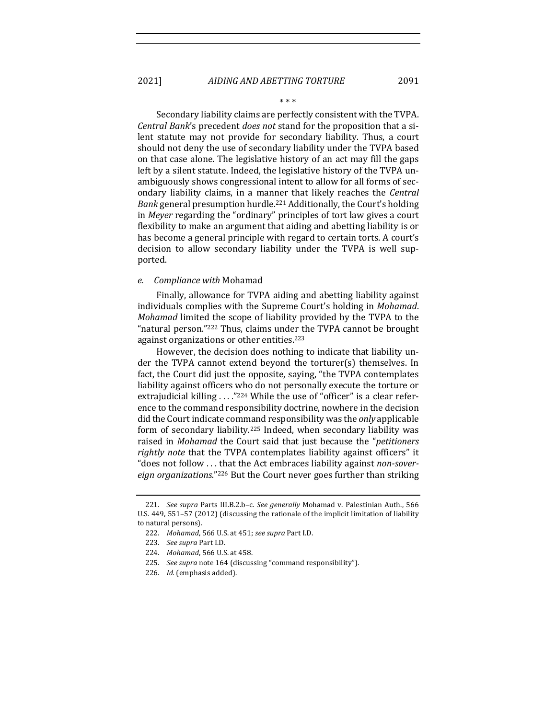\* \* \*

Secondary liability claims are perfectly consistent with the TVPA. *Central Bank*'s precedent *does not* stand for the proposition that a silent statute may not provide for secondary liability. Thus, a court should not deny the use of secondary liability under the TVPA based on that case alone. The legislative history of an act may fill the gaps left by a silent statute. Indeed, the legislative history of the TVPA unambiguously shows congressional intent to allow for all forms of secondary liability claims, in a manner that likely reaches the *Central Bank* general presumption hurdle.<sup>221</sup> Additionally, the Court's holding in *Meyer* regarding the "ordinary" principles of tort law gives a court flexibility to make an argument that aiding and abetting liability is or has become a general principle with regard to certain torts. A court's decision to allow secondary liability under the TVPA is well supported. 

#### *e. Compliance with* Mohamad

Finally, allowance for TVPA aiding and abetting liability against individuals complies with the Supreme Court's holding in *Mohamad*. *Mohamad* limited the scope of liability provided by the TVPA to the "natural person."<sup>222</sup> Thus, claims under the TVPA cannot be brought against organizations or other entities.<sup>223</sup>

However, the decision does nothing to indicate that liability under the TVPA cannot extend beyond the torturer(s) themselves. In fact, the Court did just the opposite, saying, "the TVPA contemplates liability against officers who do not personally execute the torture or extrajudicial killing  $\ldots$ ."224 While the use of "officer" is a clear reference to the command responsibility doctrine, nowhere in the decision did the Court indicate command responsibility was the *only* applicable form of secondary liability.<sup>225</sup> Indeed, when secondary liability was raised in *Mohamad* the Court said that just because the "*petitioners rightly note* that the TVPA contemplates liability against officers" it "does not follow ... that the Act embraces liability against *non-sover*eign organizations."<sup>226</sup> But the Court never goes further than striking

<sup>221.</sup> *See supra Parts III.B.2.b-c. See generally Mohamad v. Palestinian Auth.,* 566 U.S. 449, 551-57 (2012) (discussing the rationale of the implicit limitation of liability to natural persons).

<sup>222.</sup> *Mohamad*, 566 U.S. at 451; *see supra* Part I.D. 

<sup>223.</sup> *See supra* Part I.D.

<sup>224.</sup> *Mohamad*, 566 U.S. at 458.

<sup>225.</sup> See supra note 164 (discussing "command responsibility").

<sup>226.</sup> *Id.* (emphasis added).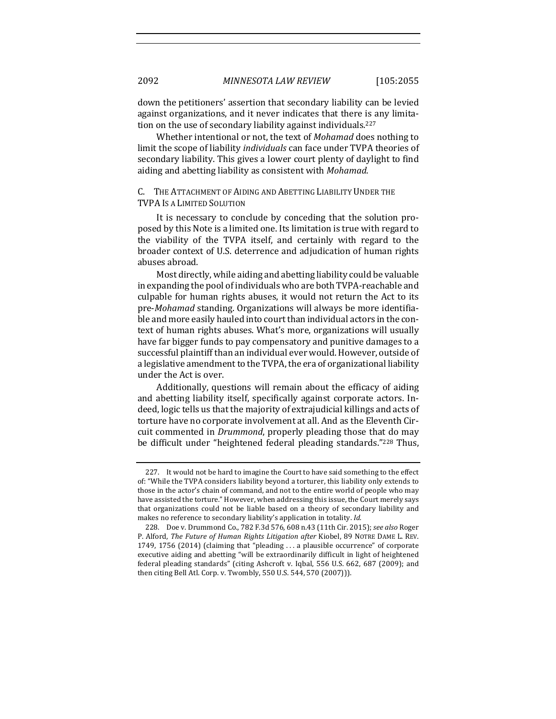down the petitioners' assertion that secondary liability can be levied against organizations, and it never indicates that there is any limitation on the use of secondary liability against individuals.<sup>227</sup>

Whether intentional or not, the text of *Mohamad* does nothing to limit the scope of liability *individuals* can face under TVPA theories of secondary liability. This gives a lower court plenty of daylight to find aiding and abetting liability as consistent with *Mohamad*.

## C. THE ATTACHMENT OF AIDING AND ABETTING LIABILITY UNDER THE **TVPA IS A LIMITED SOLUTION**

It is necessary to conclude by conceding that the solution proposed by this Note is a limited one. Its limitation is true with regard to the viability of the TVPA itself, and certainly with regard to the broader context of U.S. deterrence and adjudication of human rights abuses abroad.

Most directly, while aiding and abetting liability could be valuable in expanding the pool of individuals who are both TVPA-reachable and culpable for human rights abuses, it would not return the Act to its pre-*Mohamad* standing. Organizations will always be more identifiable and more easily hauled into court than individual actors in the context of human rights abuses. What's more, organizations will usually have far bigger funds to pay compensatory and punitive damages to a successful plaintiff than an individual ever would. However, outside of a legislative amendment to the TVPA, the era of organizational liability under the Act is over.

Additionally, questions will remain about the efficacy of aiding and abetting liability itself, specifically against corporate actors. Indeed, logic tells us that the majority of extrajudicial killings and acts of torture have no corporate involvement at all. And as the Eleventh Circuit commented in *Drummond*, properly pleading those that do may be difficult under "heightened federal pleading standards."<sup>228</sup> Thus,

<sup>227.</sup> It would not be hard to imagine the Court to have said something to the effect of: "While the TVPA considers liability beyond a torturer, this liability only extends to those in the actor's chain of command, and not to the entire world of people who may have assisted the torture." However, when addressing this issue, the Court merely says that organizations could not be liable based on a theory of secondary liability and makes no reference to secondary liability's application in totality. *Id.* 

<sup>228.</sup> Doe v. Drummond Co., 782 F.3d 576, 608 n.43 (11th Cir. 2015); *see also* Roger P. Alford, *The Future of Human Rights Litigation after Kiobel*, 89 NOTRE DAME L. REV. 1749, 1756  $(2014)$  (claiming that "pleading ... a plausible occurrence" of corporate executive aiding and abetting "will be extraordinarily difficult in light of heightened federal pleading standards" (citing Ashcroft v. Iqbal, 556 U.S. 662, 687 (2009); and then citing Bell Atl. Corp. v. Twombly, 550 U.S. 544, 570 (2007))).